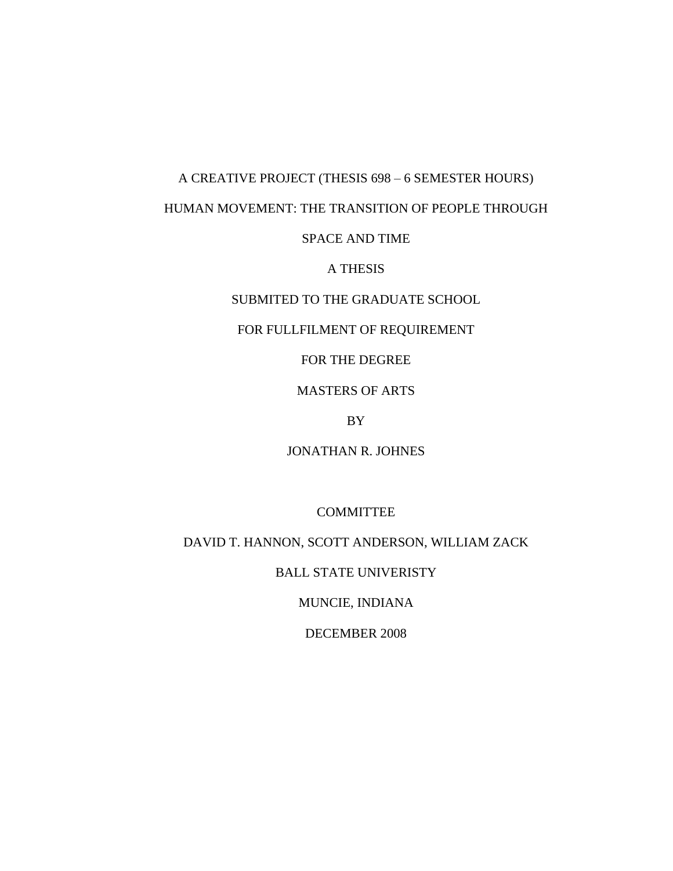# A CREATIVE PROJECT (THESIS 698 – 6 SEMESTER HOURS)

# HUMAN MOVEMENT: THE TRANSITION OF PEOPLE THROUGH

# SPACE AND TIME

# A THESIS

# SUBMITED TO THE GRADUATE SCHOOL

# FOR FULLFILMENT OF REQUIREMENT

# FOR THE DEGREE

# MASTERS OF ARTS

## BY

# JONATHAN R. JOHNES

# COMMITTEE

# DAVID T. HANNON, SCOTT ANDERSON, WILLIAM ZACK

## BALL STATE UNIVERISTY

# MUNCIE, INDIANA

# DECEMBER 2008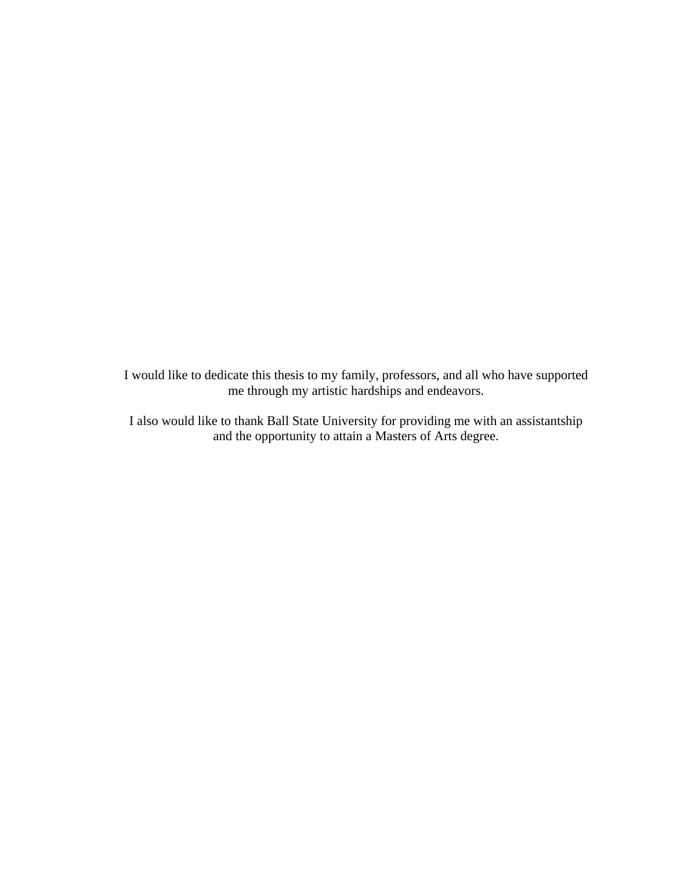I would like to dedicate this thesis to my family, professors, and all who have supported me through my artistic hardships and endeavors.

I also would like to thank Ball State University for providing me with an assistantship and the opportunity to attain a Masters of Arts degree.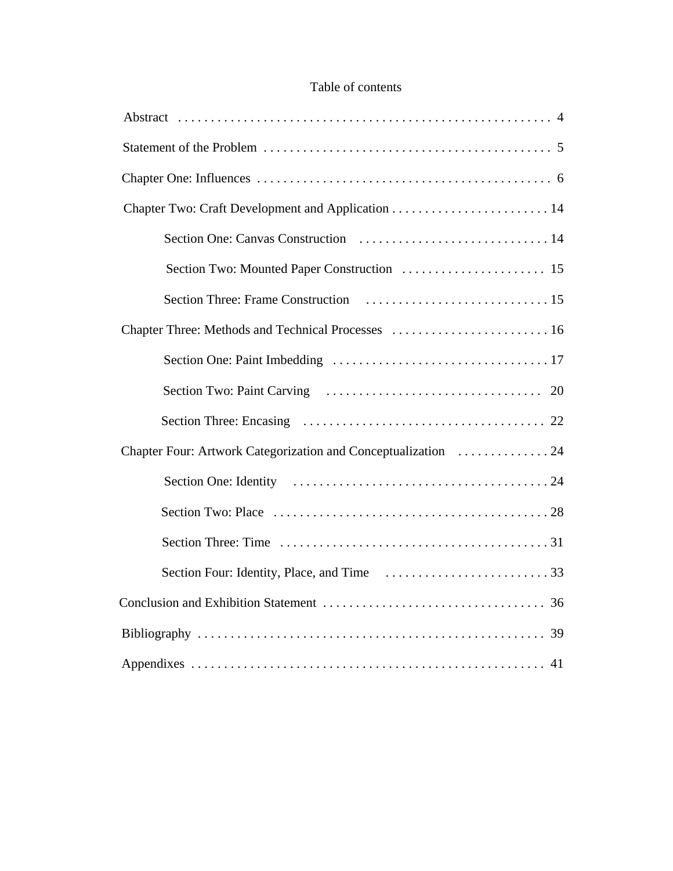# Table of contents

| Chapter Three: Methods and Technical Processes  16             |
|----------------------------------------------------------------|
|                                                                |
|                                                                |
|                                                                |
| Chapter Four: Artwork Categorization and Conceptualization  24 |
|                                                                |
|                                                                |
|                                                                |
|                                                                |
|                                                                |
|                                                                |
|                                                                |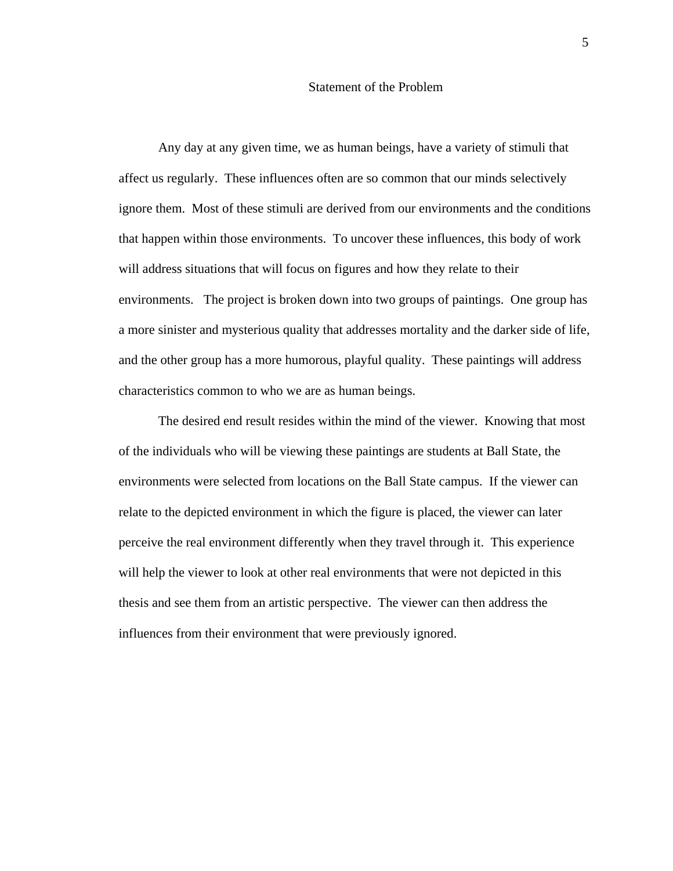#### Statement of the Problem

Any day at any given time, we as human beings, have a variety of stimuli that affect us regularly. These influences often are so common that our minds selectively ignore them. Most of these stimuli are derived from our environments and the conditions that happen within those environments. To uncover these influences, this body of work will address situations that will focus on figures and how they relate to their environments. The project is broken down into two groups of paintings. One group has a more sinister and mysterious quality that addresses mortality and the darker side of life, and the other group has a more humorous, playful quality. These paintings will address characteristics common to who we are as human beings.

The desired end result resides within the mind of the viewer. Knowing that most of the individuals who will be viewing these paintings are students at Ball State, the environments were selected from locations on the Ball State campus. If the viewer can relate to the depicted environment in which the figure is placed, the viewer can later perceive the real environment differently when they travel through it. This experience will help the viewer to look at other real environments that were not depicted in this thesis and see them from an artistic perspective. The viewer can then address the influences from their environment that were previously ignored.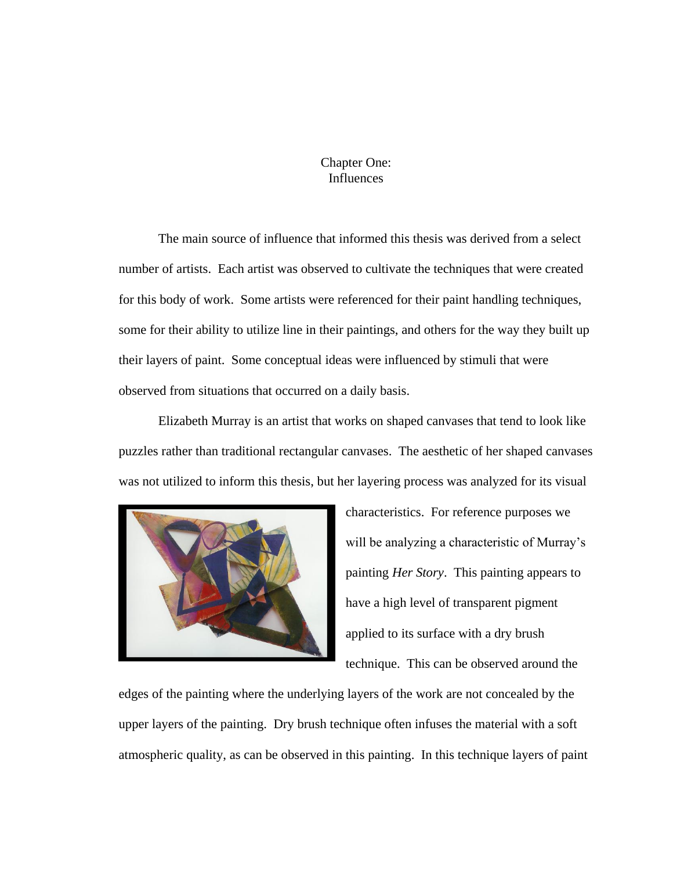# Chapter One: Influences

The main source of influence that informed this thesis was derived from a select number of artists. Each artist was observed to cultivate the techniques that were created for this body of work. Some artists were referenced for their paint handling techniques, some for their ability to utilize line in their paintings, and others for the way they built up their layers of paint. Some conceptual ideas were influenced by stimuli that were observed from situations that occurred on a daily basis.

Elizabeth Murray is an artist that works on shaped canvases that tend to look like puzzles rather than traditional rectangular canvases. The aesthetic of her shaped canvases was not utilized to inform this thesis, but her layering process was analyzed for its visual



characteristics. For reference purposes we will be analyzing a characteristic of Murray's painting *Her Story*. This painting appears to have a high level of transparent pigment applied to its surface with a dry brush technique. This can be observed around the

edges of the painting where the underlying layers of the work are not concealed by the upper layers of the painting. Dry brush technique often infuses the material with a soft atmospheric quality, as can be observed in this painting. In this technique layers of paint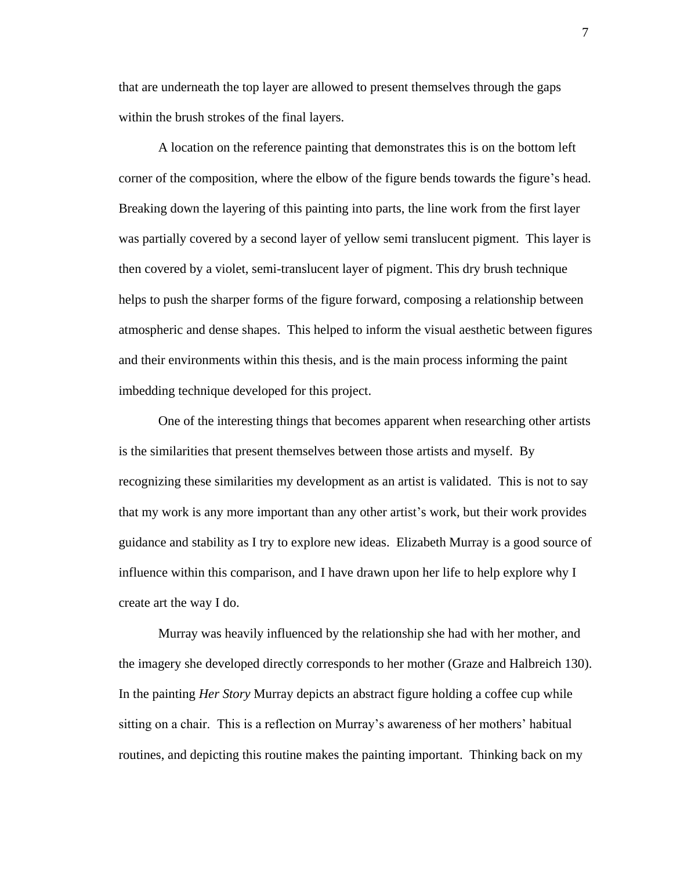that are underneath the top layer are allowed to present themselves through the gaps within the brush strokes of the final layers.

A location on the reference painting that demonstrates this is on the bottom left corner of the composition, where the elbow of the figure bends towards the figure's head. Breaking down the layering of this painting into parts, the line work from the first layer was partially covered by a second layer of yellow semi translucent pigment. This layer is then covered by a violet, semi-translucent layer of pigment. This dry brush technique helps to push the sharper forms of the figure forward, composing a relationship between atmospheric and dense shapes. This helped to inform the visual aesthetic between figures and their environments within this thesis, and is the main process informing the paint imbedding technique developed for this project.

One of the interesting things that becomes apparent when researching other artists is the similarities that present themselves between those artists and myself. By recognizing these similarities my development as an artist is validated. This is not to say that my work is any more important than any other artist's work, but their work provides guidance and stability as I try to explore new ideas. Elizabeth Murray is a good source of influence within this comparison, and I have drawn upon her life to help explore why I create art the way I do.

Murray was heavily influenced by the relationship she had with her mother, and the imagery she developed directly corresponds to her mother (Graze and Halbreich 130). In the painting *Her Story* Murray depicts an abstract figure holding a coffee cup while sitting on a chair. This is a reflection on Murray's awareness of her mothers' habitual routines, and depicting this routine makes the painting important. Thinking back on my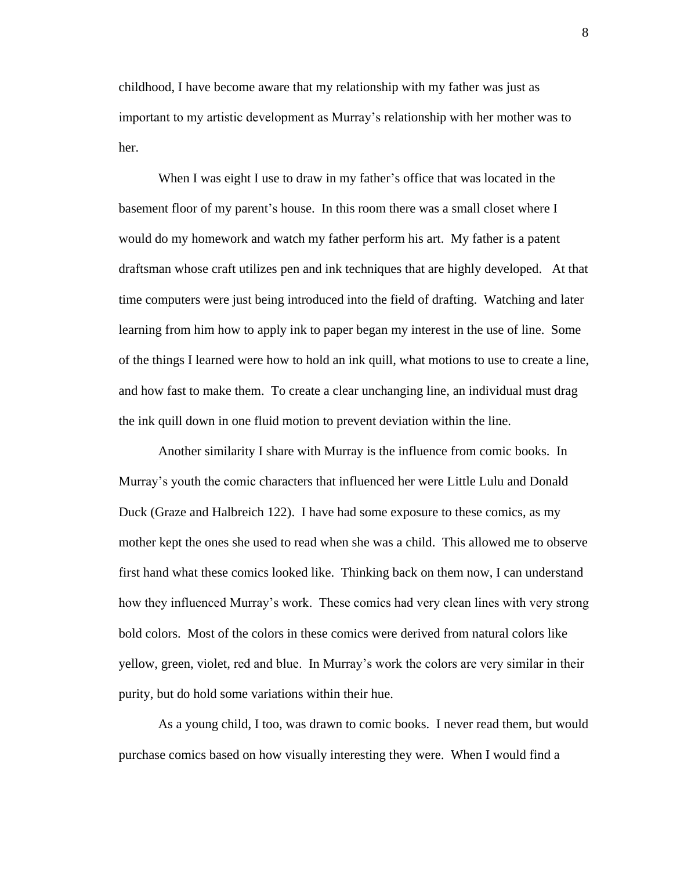childhood, I have become aware that my relationship with my father was just as important to my artistic development as Murray's relationship with her mother was to her.

When I was eight I use to draw in my father's office that was located in the basement floor of my parent's house. In this room there was a small closet where I would do my homework and watch my father perform his art. My father is a patent draftsman whose craft utilizes pen and ink techniques that are highly developed. At that time computers were just being introduced into the field of drafting. Watching and later learning from him how to apply ink to paper began my interest in the use of line. Some of the things I learned were how to hold an ink quill, what motions to use to create a line, and how fast to make them. To create a clear unchanging line, an individual must drag the ink quill down in one fluid motion to prevent deviation within the line.

Another similarity I share with Murray is the influence from comic books. In Murray's youth the comic characters that influenced her were Little Lulu and Donald Duck (Graze and Halbreich 122). I have had some exposure to these comics, as my mother kept the ones she used to read when she was a child. This allowed me to observe first hand what these comics looked like. Thinking back on them now, I can understand how they influenced Murray's work. These comics had very clean lines with very strong bold colors. Most of the colors in these comics were derived from natural colors like yellow, green, violet, red and blue. In Murray's work the colors are very similar in their purity, but do hold some variations within their hue.

As a young child, I too, was drawn to comic books. I never read them, but would purchase comics based on how visually interesting they were. When I would find a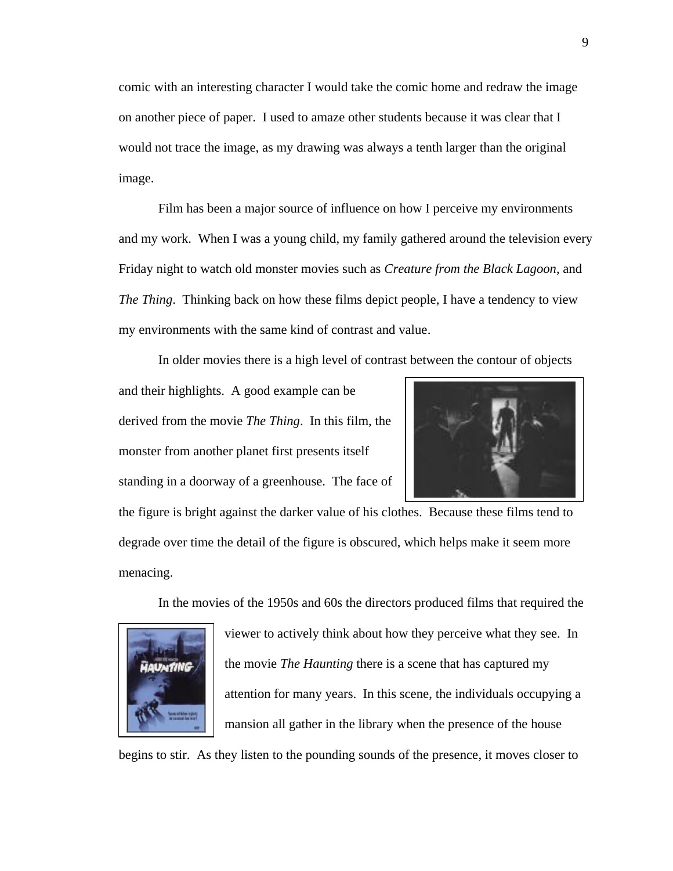comic with an interesting character I would take the comic home and redraw the image on another piece of paper. I used to amaze other students because it was clear that I would not trace the image, as my drawing was always a tenth larger than the original image.

Film has been a major source of influence on how I perceive my environments and my work. When I was a young child, my family gathered around the television every Friday night to watch old monster movies such as *Creature from the Black Lagoon*, and *The Thing*. Thinking back on how these films depict people, I have a tendency to view my environments with the same kind of contrast and value.

In older movies there is a high level of contrast between the contour of objects

and their highlights. A good example can be derived from the movie *The Thing*. In this film, the monster from another planet first presents itself standing in a doorway of a greenhouse. The face of



the figure is bright against the darker value of his clothes. Because these films tend to degrade over time the detail of the figure is obscured, which helps make it seem more menacing.

In the movies of the 1950s and 60s the directors produced films that required the



viewer to actively think about how they perceive what they see. In the movie *The Haunting* there is a scene that has captured my attention for many years. In this scene, the individuals occupying a mansion all gather in the library when the presence of the house

begins to stir. As they listen to the pounding sounds of the presence, it moves closer to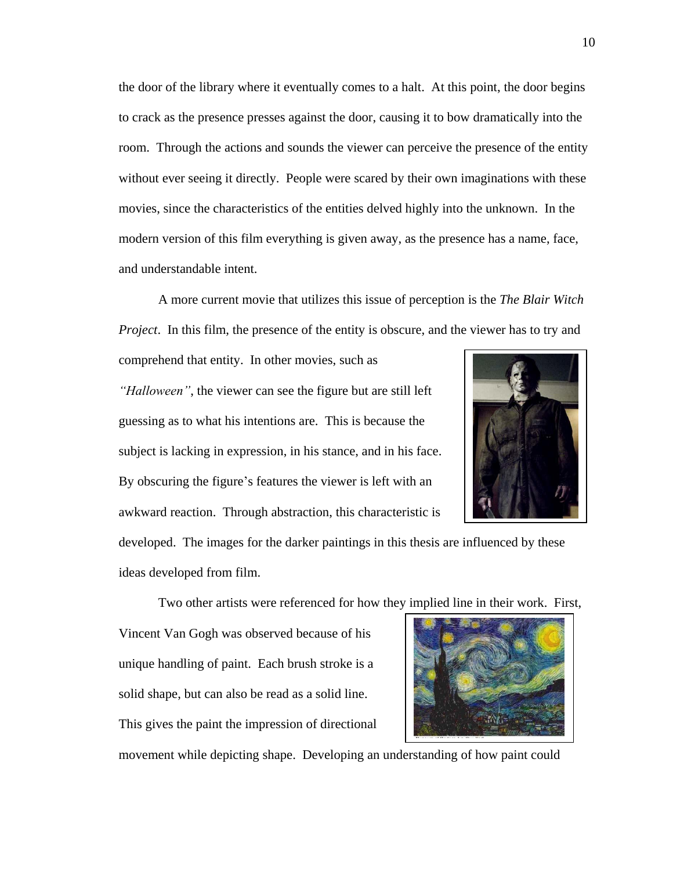the door of the library where it eventually comes to a halt. At this point, the door begins to crack as the presence presses against the door, causing it to bow dramatically into the room. Through the actions and sounds the viewer can perceive the presence of the entity without ever seeing it directly. People were scared by their own imaginations with these movies, since the characteristics of the entities delved highly into the unknown. In the modern version of this film everything is given away, as the presence has a name, face, and understandable intent.

A more current movie that utilizes this issue of perception is the *The Blair Witch Project.* In this film, the presence of the entity is obscure, and the viewer has to try and

comprehend that entity. In other movies, such as *"Halloween"*, the viewer can see the figure but are still left guessing as to what his intentions are. This is because the subject is lacking in expression, in his stance, and in his face. By obscuring the figure's features the viewer is left with an awkward reaction. Through abstraction, this characteristic is



developed. The images for the darker paintings in this thesis are influenced by these ideas developed from film.

Two other artists were referenced for how they implied line in their work. First,

Vincent Van Gogh was observed because of his unique handling of paint. Each brush stroke is a solid shape, but can also be read as a solid line. This gives the paint the impression of directional



movement while depicting shape. Developing an understanding of how paint could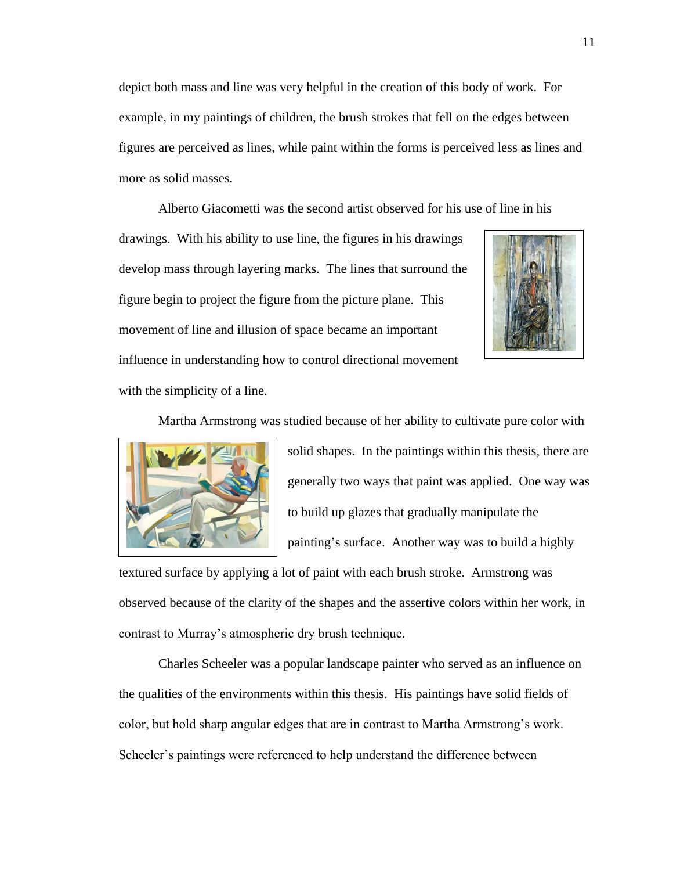depict both mass and line was very helpful in the creation of this body of work. For example, in my paintings of children, the brush strokes that fell on the edges between figures are perceived as lines, while paint within the forms is perceived less as lines and more as solid masses.

Alberto Giacometti was the second artist observed for his use of line in his

drawings. With his ability to use line, the figures in his drawings develop mass through layering marks. The lines that surround the figure begin to project the figure from the picture plane. This movement of line and illusion of space became an important influence in understanding how to control directional movement with the simplicity of a line.



Martha Armstrong was studied because of her ability to cultivate pure color with



solid shapes. In the paintings within this thesis, there are generally two ways that paint was applied. One way was to build up glazes that gradually manipulate the painting's surface. Another way was to build a highly

textured surface by applying a lot of paint with each brush stroke. Armstrong was observed because of the clarity of the shapes and the assertive colors within her work, in contrast to Murray's atmospheric dry brush technique.

Charles Scheeler was a popular landscape painter who served as an influence on the qualities of the environments within this thesis. His paintings have solid fields of color, but hold sharp angular edges that are in contrast to Martha Armstrong's work. Scheeler's paintings were referenced to help understand the difference between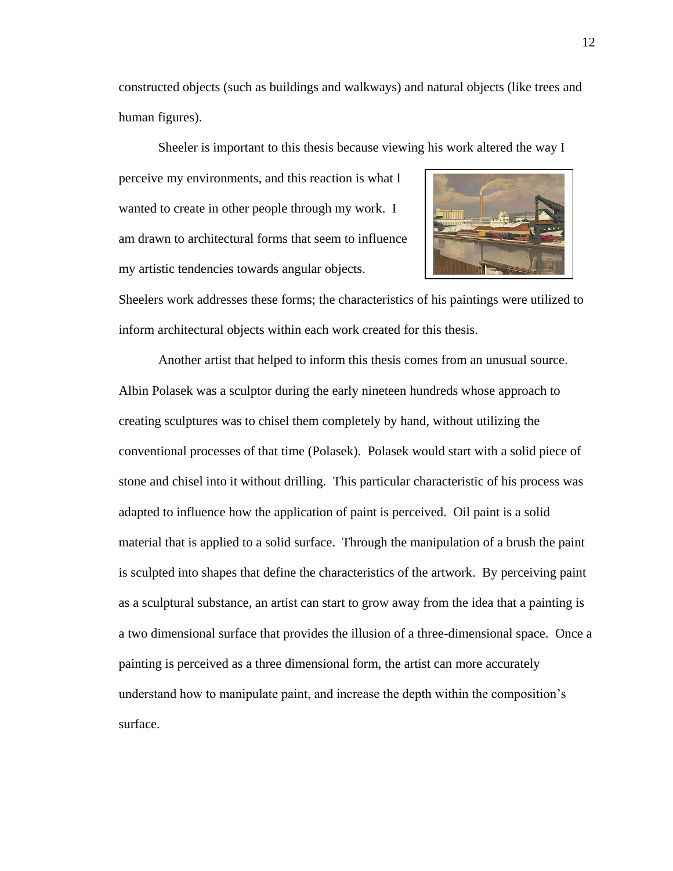constructed objects (such as buildings and walkways) and natural objects (like trees and human figures).

Sheeler is important to this thesis because viewing his work altered the way I

perceive my environments, and this reaction is what I wanted to create in other people through my work. I am drawn to architectural forms that seem to influence my artistic tendencies towards angular objects.



Sheelers work addresses these forms; the characteristics of his paintings were utilized to inform architectural objects within each work created for this thesis.

Another artist that helped to inform this thesis comes from an unusual source. Albin Polasek was a sculptor during the early nineteen hundreds whose approach to creating sculptures was to chisel them completely by hand, without utilizing the conventional processes of that time (Polasek). Polasek would start with a solid piece of stone and chisel into it without drilling. This particular characteristic of his process was adapted to influence how the application of paint is perceived. Oil paint is a solid material that is applied to a solid surface. Through the manipulation of a brush the paint is sculpted into shapes that define the characteristics of the artwork. By perceiving paint as a sculptural substance, an artist can start to grow away from the idea that a painting is a two dimensional surface that provides the illusion of a three-dimensional space. Once a painting is perceived as a three dimensional form, the artist can more accurately understand how to manipulate paint, and increase the depth within the composition's surface.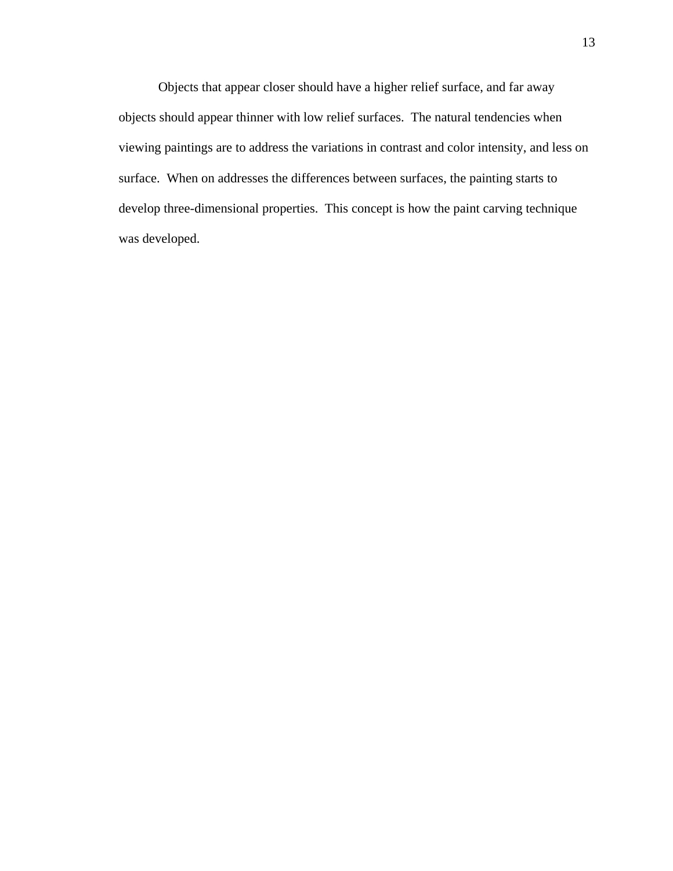Objects that appear closer should have a higher relief surface, and far away objects should appear thinner with low relief surfaces. The natural tendencies when viewing paintings are to address the variations in contrast and color intensity, and less on surface. When on addresses the differences between surfaces, the painting starts to develop three-dimensional properties. This concept is how the paint carving technique was developed.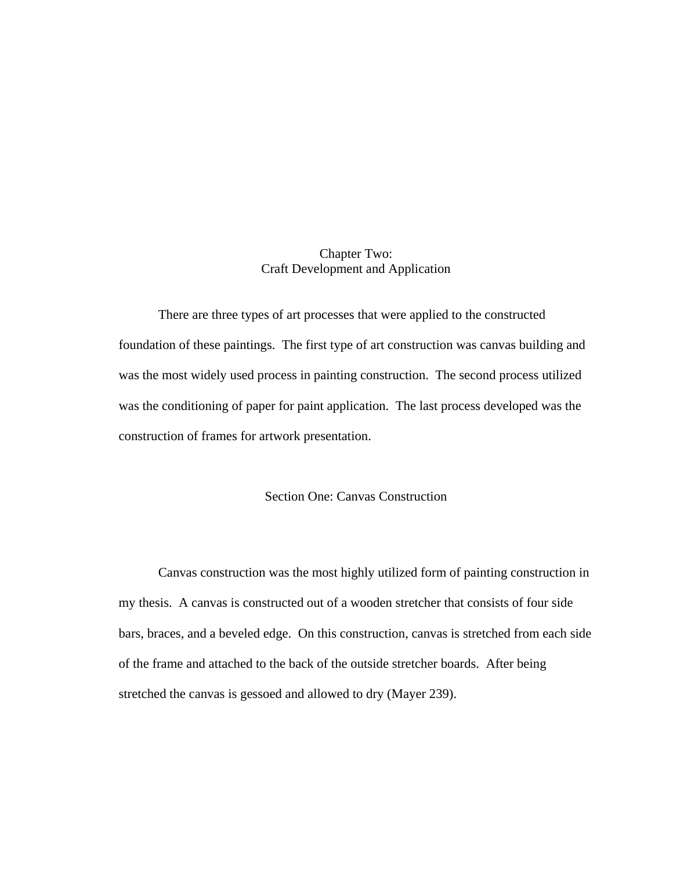# Chapter Two: Craft Development and Application

There are three types of art processes that were applied to the constructed foundation of these paintings. The first type of art construction was canvas building and was the most widely used process in painting construction. The second process utilized was the conditioning of paper for paint application. The last process developed was the construction of frames for artwork presentation.

# Section One: Canvas Construction

Canvas construction was the most highly utilized form of painting construction in my thesis. A canvas is constructed out of a wooden stretcher that consists of four side bars, braces, and a beveled edge. On this construction, canvas is stretched from each side of the frame and attached to the back of the outside stretcher boards. After being stretched the canvas is gessoed and allowed to dry (Mayer 239).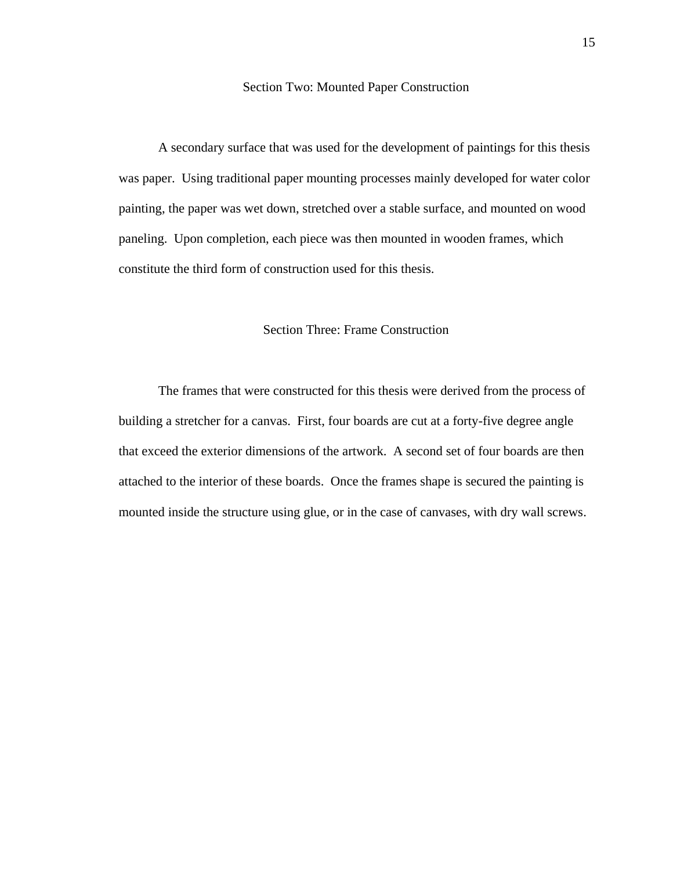#### Section Two: Mounted Paper Construction

A secondary surface that was used for the development of paintings for this thesis was paper. Using traditional paper mounting processes mainly developed for water color painting, the paper was wet down, stretched over a stable surface, and mounted on wood paneling. Upon completion, each piece was then mounted in wooden frames, which constitute the third form of construction used for this thesis.

# Section Three: Frame Construction

The frames that were constructed for this thesis were derived from the process of building a stretcher for a canvas. First, four boards are cut at a forty-five degree angle that exceed the exterior dimensions of the artwork. A second set of four boards are then attached to the interior of these boards. Once the frames shape is secured the painting is mounted inside the structure using glue, or in the case of canvases, with dry wall screws.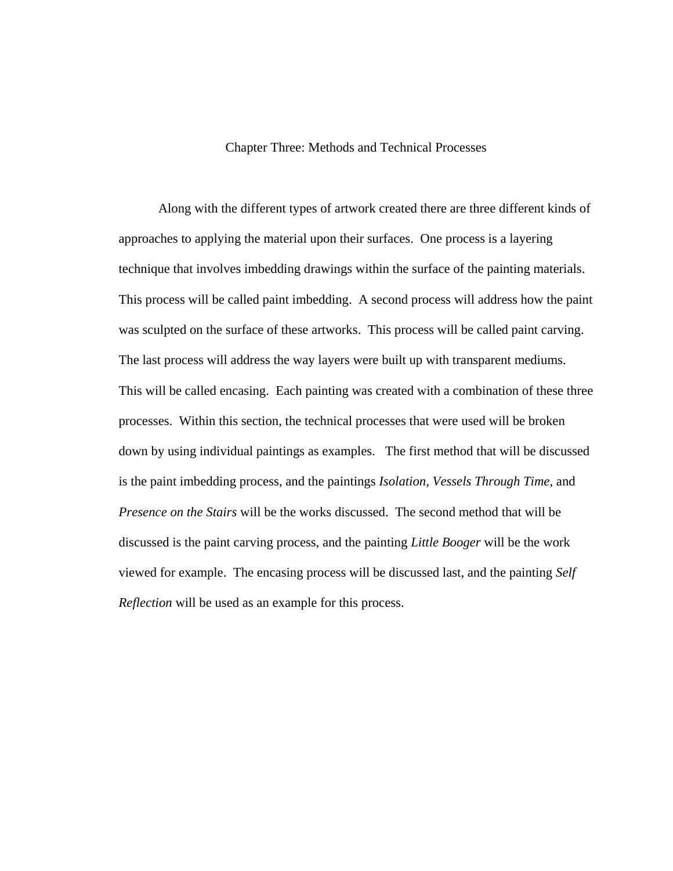### Chapter Three: Methods and Technical Processes

Along with the different types of artwork created there are three different kinds of approaches to applying the material upon their surfaces. One process is a layering technique that involves imbedding drawings within the surface of the painting materials. This process will be called paint imbedding. A second process will address how the paint was sculpted on the surface of these artworks. This process will be called paint carving. The last process will address the way layers were built up with transparent mediums. This will be called encasing. Each painting was created with a combination of these three processes. Within this section, the technical processes that were used will be broken down by using individual paintings as examples. The first method that will be discussed is the paint imbedding process, and the paintings *Isolation*, *Vessels Through Time*, and *Presence on the Stairs* will be the works discussed. The second method that will be discussed is the paint carving process, and the painting *Little Booger* will be the work viewed for example. The encasing process will be discussed last, and the painting *Self Reflection* will be used as an example for this process.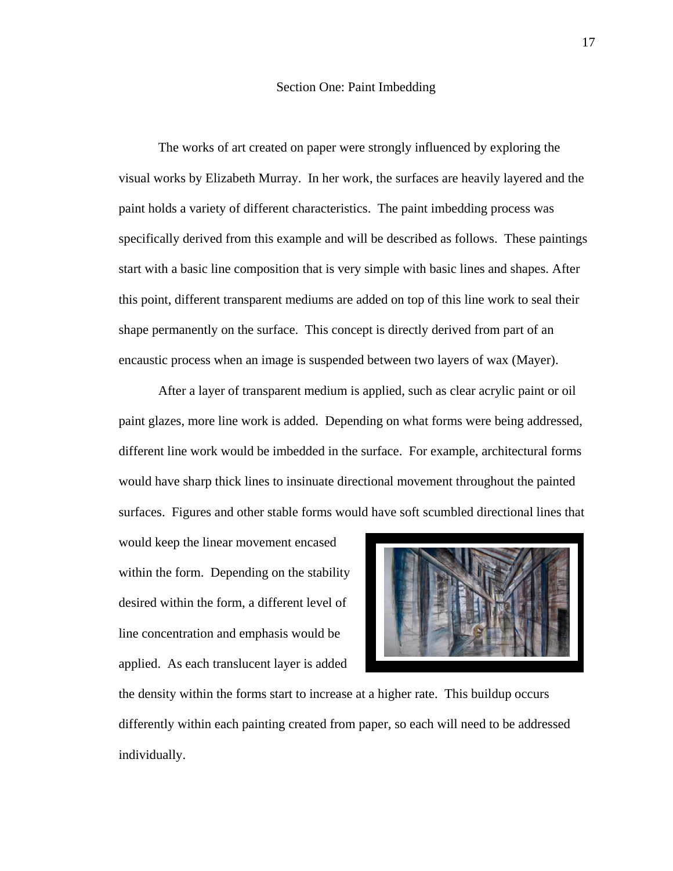#### Section One: Paint Imbedding

The works of art created on paper were strongly influenced by exploring the visual works by Elizabeth Murray. In her work, the surfaces are heavily layered and the paint holds a variety of different characteristics. The paint imbedding process was specifically derived from this example and will be described as follows. These paintings start with a basic line composition that is very simple with basic lines and shapes. After this point, different transparent mediums are added on top of this line work to seal their shape permanently on the surface. This concept is directly derived from part of an encaustic process when an image is suspended between two layers of wax (Mayer).

After a layer of transparent medium is applied, such as clear acrylic paint or oil paint glazes, more line work is added. Depending on what forms were being addressed, different line work would be imbedded in the surface. For example, architectural forms would have sharp thick lines to insinuate directional movement throughout the painted surfaces. Figures and other stable forms would have soft scumbled directional lines that

would keep the linear movement encased within the form. Depending on the stability desired within the form, a different level of line concentration and emphasis would be applied. As each translucent layer is added



the density within the forms start to increase at a higher rate. This buildup occurs differently within each painting created from paper, so each will need to be addressed individually.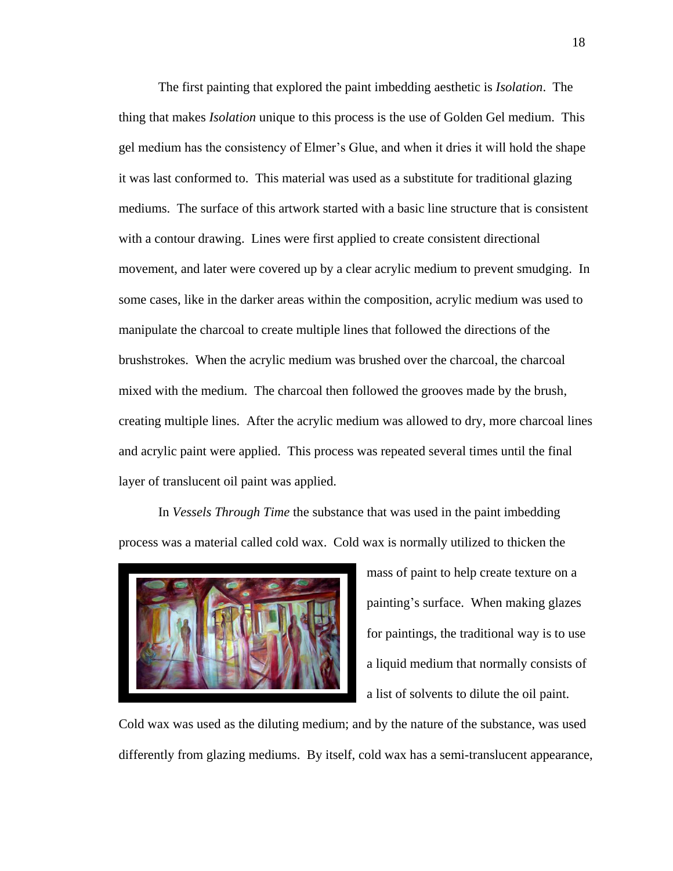The first painting that explored the paint imbedding aesthetic is *Isolation*. The thing that makes *Isolation* unique to this process is the use of Golden Gel medium. This gel medium has the consistency of Elmer's Glue, and when it dries it will hold the shape it was last conformed to. This material was used as a substitute for traditional glazing mediums. The surface of this artwork started with a basic line structure that is consistent with a contour drawing. Lines were first applied to create consistent directional movement, and later were covered up by a clear acrylic medium to prevent smudging. In some cases, like in the darker areas within the composition, acrylic medium was used to manipulate the charcoal to create multiple lines that followed the directions of the brushstrokes. When the acrylic medium was brushed over the charcoal, the charcoal mixed with the medium. The charcoal then followed the grooves made by the brush, creating multiple lines. After the acrylic medium was allowed to dry, more charcoal lines and acrylic paint were applied. This process was repeated several times until the final layer of translucent oil paint was applied.

In *Vessels Through Time* the substance that was used in the paint imbedding process was a material called cold wax. Cold wax is normally utilized to thicken the



mass of paint to help create texture on a painting's surface. When making glazes for paintings, the traditional way is to use a liquid medium that normally consists of a list of solvents to dilute the oil paint.

Cold wax was used as the diluting medium; and by the nature of the substance, was used differently from glazing mediums. By itself, cold wax has a semi-translucent appearance,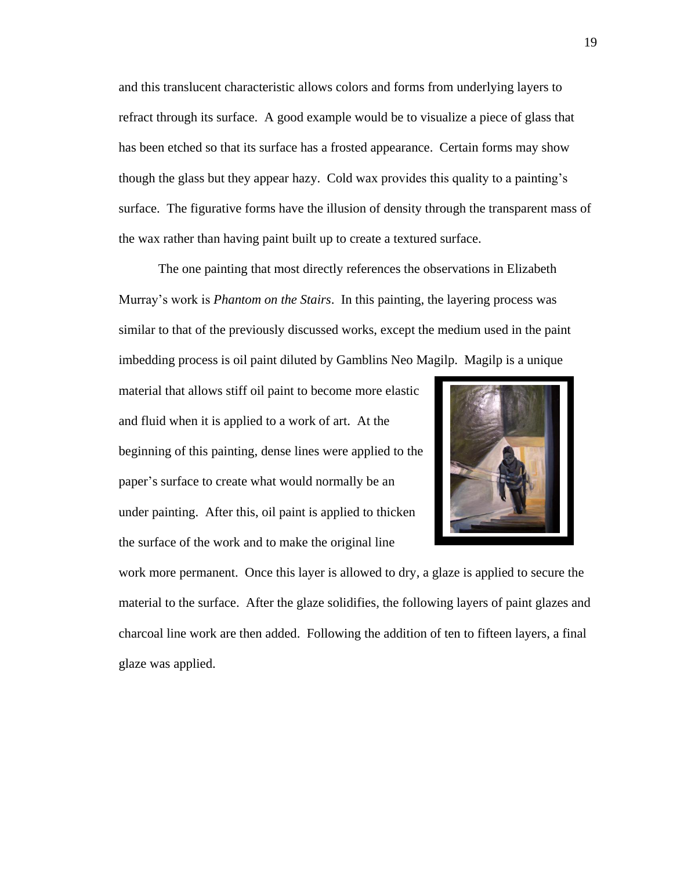and this translucent characteristic allows colors and forms from underlying layers to refract through its surface. A good example would be to visualize a piece of glass that has been etched so that its surface has a frosted appearance. Certain forms may show though the glass but they appear hazy. Cold wax provides this quality to a painting's surface. The figurative forms have the illusion of density through the transparent mass of the wax rather than having paint built up to create a textured surface.

The one painting that most directly references the observations in Elizabeth Murray's work is *Phantom on the Stairs*. In this painting, the layering process was similar to that of the previously discussed works, except the medium used in the paint imbedding process is oil paint diluted by Gamblins Neo Magilp. Magilp is a unique

material that allows stiff oil paint to become more elastic and fluid when it is applied to a work of art. At the beginning of this painting, dense lines were applied to the paper's surface to create what would normally be an under painting. After this, oil paint is applied to thicken the surface of the work and to make the original line



work more permanent. Once this layer is allowed to dry, a glaze is applied to secure the material to the surface. After the glaze solidifies, the following layers of paint glazes and charcoal line work are then added. Following the addition of ten to fifteen layers, a final glaze was applied.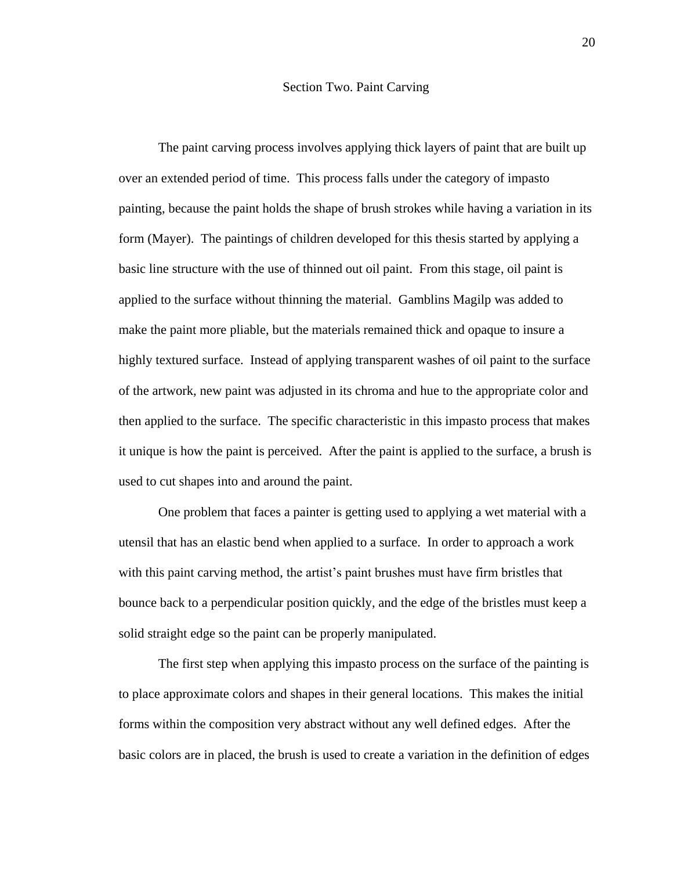#### Section Two. Paint Carving

The paint carving process involves applying thick layers of paint that are built up over an extended period of time. This process falls under the category of impasto painting, because the paint holds the shape of brush strokes while having a variation in its form (Mayer). The paintings of children developed for this thesis started by applying a basic line structure with the use of thinned out oil paint. From this stage, oil paint is applied to the surface without thinning the material. Gamblins Magilp was added to make the paint more pliable, but the materials remained thick and opaque to insure a highly textured surface. Instead of applying transparent washes of oil paint to the surface of the artwork, new paint was adjusted in its chroma and hue to the appropriate color and then applied to the surface. The specific characteristic in this impasto process that makes it unique is how the paint is perceived. After the paint is applied to the surface, a brush is used to cut shapes into and around the paint.

One problem that faces a painter is getting used to applying a wet material with a utensil that has an elastic bend when applied to a surface. In order to approach a work with this paint carving method, the artist's paint brushes must have firm bristles that bounce back to a perpendicular position quickly, and the edge of the bristles must keep a solid straight edge so the paint can be properly manipulated.

The first step when applying this impasto process on the surface of the painting is to place approximate colors and shapes in their general locations. This makes the initial forms within the composition very abstract without any well defined edges. After the basic colors are in placed, the brush is used to create a variation in the definition of edges

20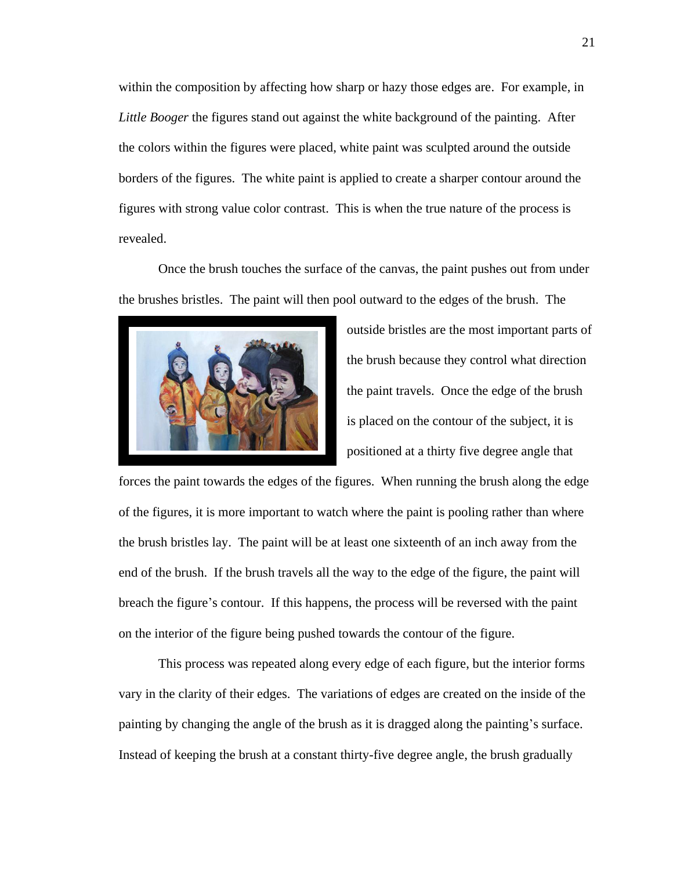within the composition by affecting how sharp or hazy those edges are. For example, in *Little Booger* the figures stand out against the white background of the painting. After the colors within the figures were placed, white paint was sculpted around the outside borders of the figures. The white paint is applied to create a sharper contour around the figures with strong value color contrast. This is when the true nature of the process is revealed.

Once the brush touches the surface of the canvas, the paint pushes out from under the brushes bristles. The paint will then pool outward to the edges of the brush. The



outside bristles are the most important parts of the brush because they control what direction the paint travels. Once the edge of the brush is placed on the contour of the subject, it is positioned at a thirty five degree angle that

forces the paint towards the edges of the figures. When running the brush along the edge of the figures, it is more important to watch where the paint is pooling rather than where the brush bristles lay. The paint will be at least one sixteenth of an inch away from the end of the brush. If the brush travels all the way to the edge of the figure, the paint will breach the figure's contour. If this happens, the process will be reversed with the paint on the interior of the figure being pushed towards the contour of the figure.

This process was repeated along every edge of each figure, but the interior forms vary in the clarity of their edges. The variations of edges are created on the inside of the painting by changing the angle of the brush as it is dragged along the painting's surface. Instead of keeping the brush at a constant thirty-five degree angle, the brush gradually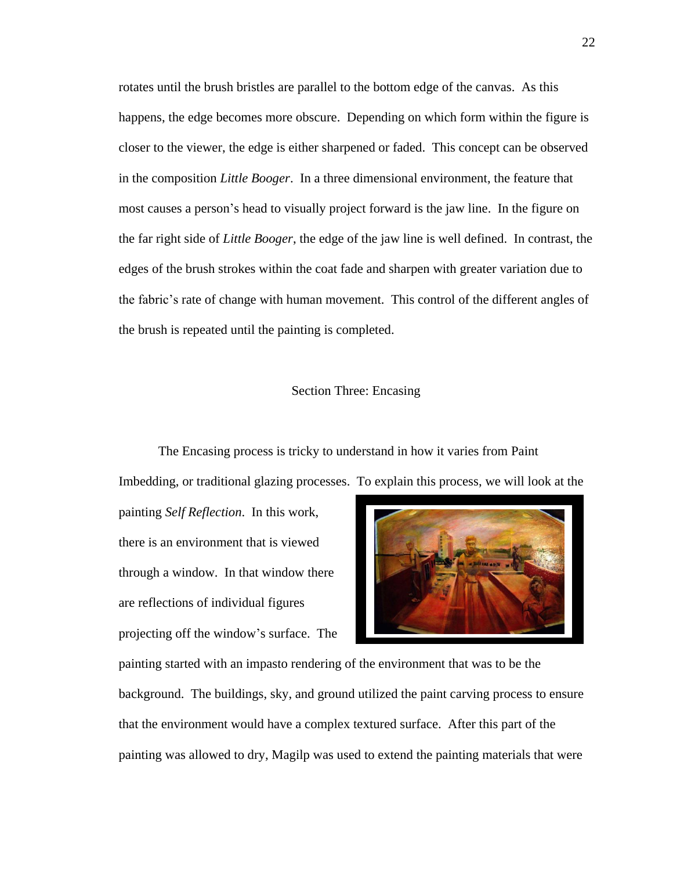rotates until the brush bristles are parallel to the bottom edge of the canvas. As this happens, the edge becomes more obscure. Depending on which form within the figure is closer to the viewer, the edge is either sharpened or faded. This concept can be observed in the composition *Little Booger*. In a three dimensional environment, the feature that most causes a person's head to visually project forward is the jaw line. In the figure on the far right side of *Little Booger*, the edge of the jaw line is well defined. In contrast, the edges of the brush strokes within the coat fade and sharpen with greater variation due to the fabric's rate of change with human movement. This control of the different angles of the brush is repeated until the painting is completed.

#### Section Three: Encasing

The Encasing process is tricky to understand in how it varies from Paint Imbedding, or traditional glazing processes. To explain this process, we will look at the

painting *Self Reflection*. In this work, there is an environment that is viewed through a window. In that window there are reflections of individual figures projecting off the window's surface. The



painting started with an impasto rendering of the environment that was to be the background. The buildings, sky, and ground utilized the paint carving process to ensure that the environment would have a complex textured surface. After this part of the painting was allowed to dry, Magilp was used to extend the painting materials that were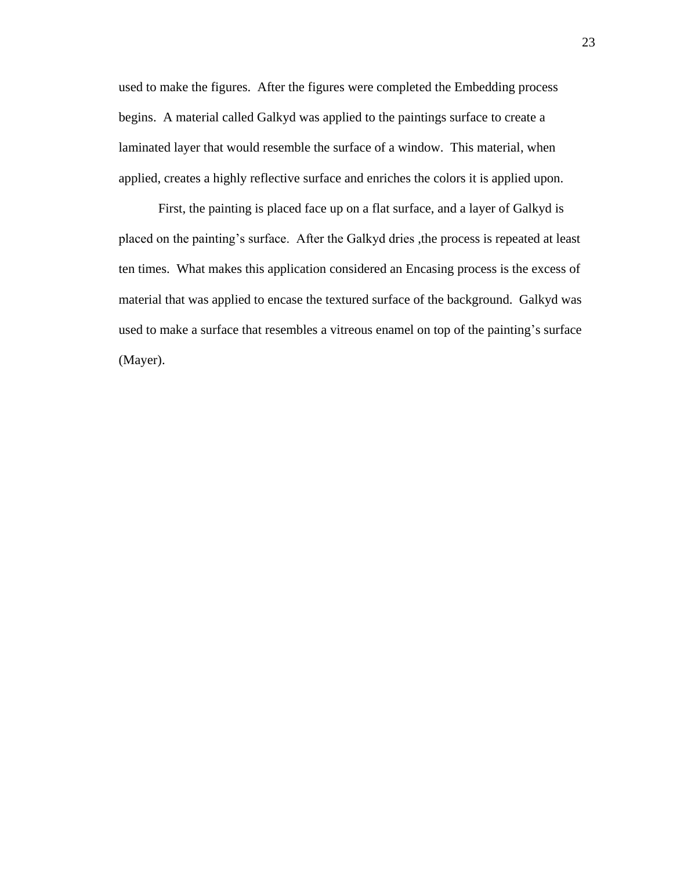used to make the figures. After the figures were completed the Embedding process begins. A material called Galkyd was applied to the paintings surface to create a laminated layer that would resemble the surface of a window. This material, when applied, creates a highly reflective surface and enriches the colors it is applied upon.

First, the painting is placed face up on a flat surface, and a layer of Galkyd is placed on the painting's surface. After the Galkyd dries ,the process is repeated at least ten times. What makes this application considered an Encasing process is the excess of material that was applied to encase the textured surface of the background. Galkyd was used to make a surface that resembles a vitreous enamel on top of the painting's surface (Mayer).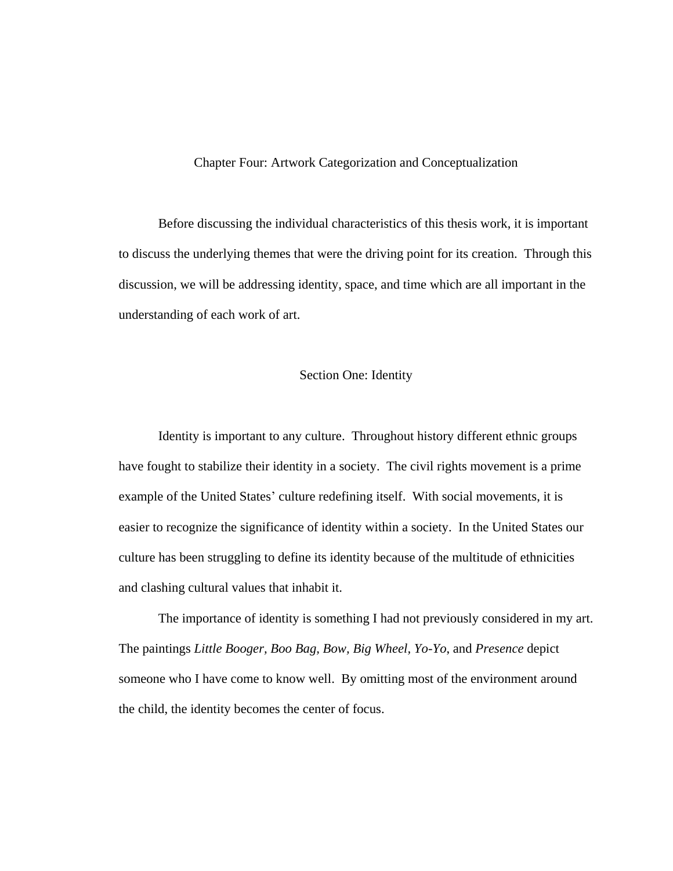#### Chapter Four: Artwork Categorization and Conceptualization

Before discussing the individual characteristics of this thesis work, it is important to discuss the underlying themes that were the driving point for its creation. Through this discussion, we will be addressing identity, space, and time which are all important in the understanding of each work of art.

#### Section One: Identity

Identity is important to any culture. Throughout history different ethnic groups have fought to stabilize their identity in a society. The civil rights movement is a prime example of the United States' culture redefining itself. With social movements, it is easier to recognize the significance of identity within a society. In the United States our culture has been struggling to define its identity because of the multitude of ethnicities and clashing cultural values that inhabit it.

The importance of identity is something I had not previously considered in my art. The paintings *Little Booger, Boo Bag, Bow, Big Wheel, Yo-Yo*, and *Presence* depict someone who I have come to know well. By omitting most of the environment around the child, the identity becomes the center of focus.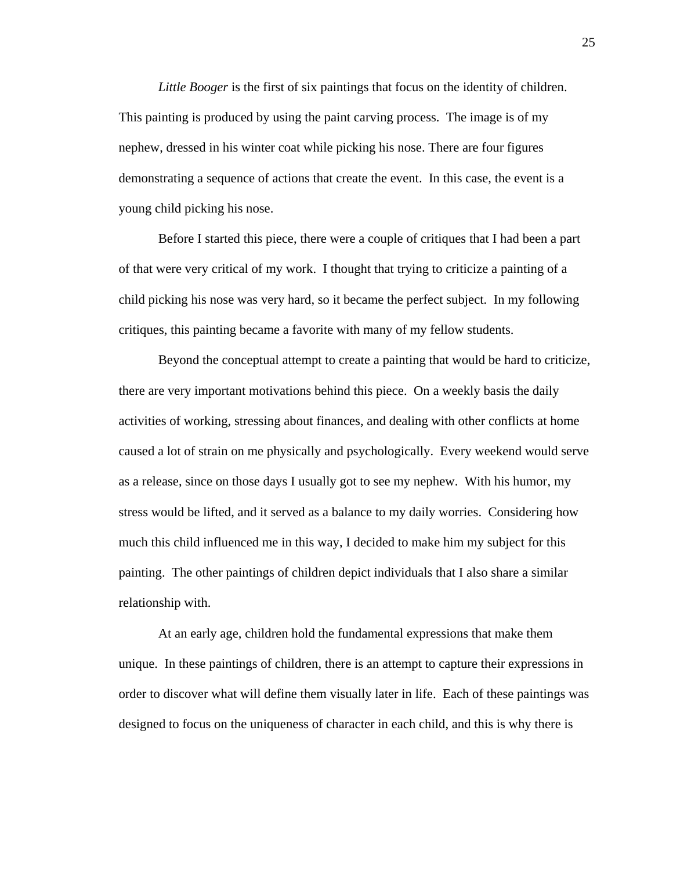*Little Booger* is the first of six paintings that focus on the identity of children. This painting is produced by using the paint carving process. The image is of my nephew, dressed in his winter coat while picking his nose. There are four figures demonstrating a sequence of actions that create the event. In this case, the event is a young child picking his nose.

Before I started this piece, there were a couple of critiques that I had been a part of that were very critical of my work. I thought that trying to criticize a painting of a child picking his nose was very hard, so it became the perfect subject. In my following critiques, this painting became a favorite with many of my fellow students.

Beyond the conceptual attempt to create a painting that would be hard to criticize, there are very important motivations behind this piece. On a weekly basis the daily activities of working, stressing about finances, and dealing with other conflicts at home caused a lot of strain on me physically and psychologically. Every weekend would serve as a release, since on those days I usually got to see my nephew. With his humor, my stress would be lifted, and it served as a balance to my daily worries. Considering how much this child influenced me in this way, I decided to make him my subject for this painting. The other paintings of children depict individuals that I also share a similar relationship with.

At an early age, children hold the fundamental expressions that make them unique. In these paintings of children, there is an attempt to capture their expressions in order to discover what will define them visually later in life. Each of these paintings was designed to focus on the uniqueness of character in each child, and this is why there is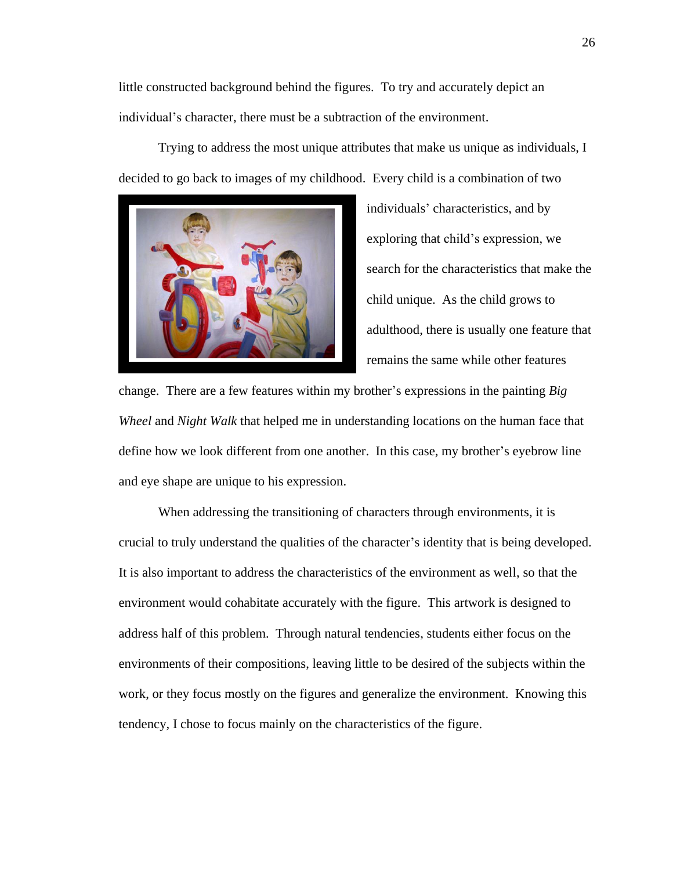little constructed background behind the figures. To try and accurately depict an individual's character, there must be a subtraction of the environment.

Trying to address the most unique attributes that make us unique as individuals, I decided to go back to images of my childhood. Every child is a combination of two



individuals' characteristics, and by exploring that child's expression, we search for the characteristics that make the child unique. As the child grows to adulthood, there is usually one feature that remains the same while other features

change. There are a few features within my brother's expressions in the painting *Big Wheel* and *Night Walk* that helped me in understanding locations on the human face that define how we look different from one another. In this case, my brother's eyebrow line and eye shape are unique to his expression.

When addressing the transitioning of characters through environments, it is crucial to truly understand the qualities of the character's identity that is being developed. It is also important to address the characteristics of the environment as well, so that the environment would cohabitate accurately with the figure. This artwork is designed to address half of this problem. Through natural tendencies, students either focus on the environments of their compositions, leaving little to be desired of the subjects within the work, or they focus mostly on the figures and generalize the environment. Knowing this tendency, I chose to focus mainly on the characteristics of the figure.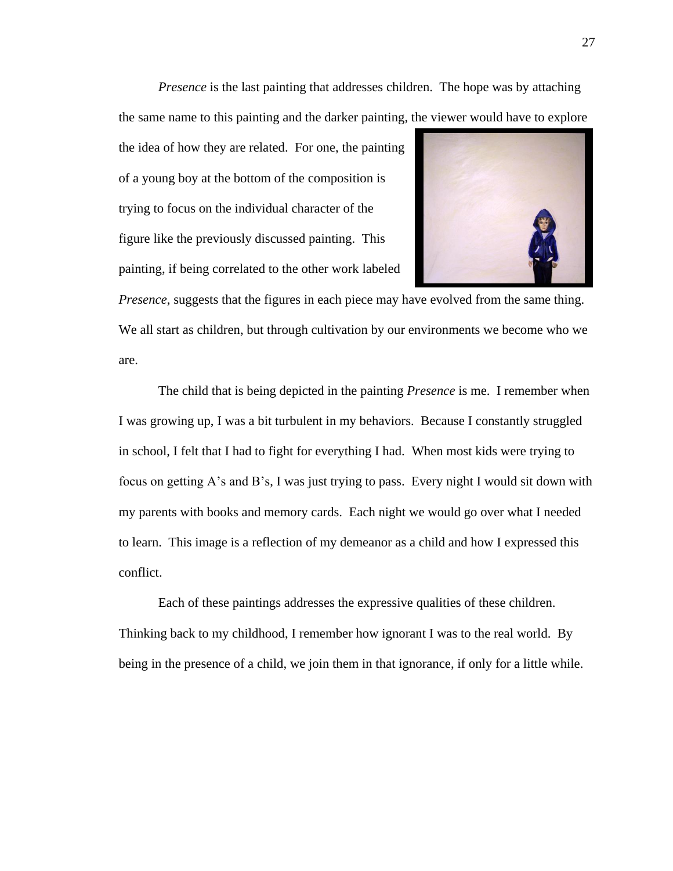*Presence* is the last painting that addresses children. The hope was by attaching the same name to this painting and the darker painting, the viewer would have to explore

the idea of how they are related. For one, the painting of a young boy at the bottom of the composition is trying to focus on the individual character of the figure like the previously discussed painting. This painting, if being correlated to the other work labeled



*Presence*, suggests that the figures in each piece may have evolved from the same thing. We all start as children, but through cultivation by our environments we become who we are.

The child that is being depicted in the painting *Presence* is me. I remember when I was growing up, I was a bit turbulent in my behaviors. Because I constantly struggled in school, I felt that I had to fight for everything I had. When most kids were trying to focus on getting A's and B's, I was just trying to pass. Every night I would sit down with my parents with books and memory cards. Each night we would go over what I needed to learn. This image is a reflection of my demeanor as a child and how I expressed this conflict.

Each of these paintings addresses the expressive qualities of these children. Thinking back to my childhood, I remember how ignorant I was to the real world. By being in the presence of a child, we join them in that ignorance, if only for a little while.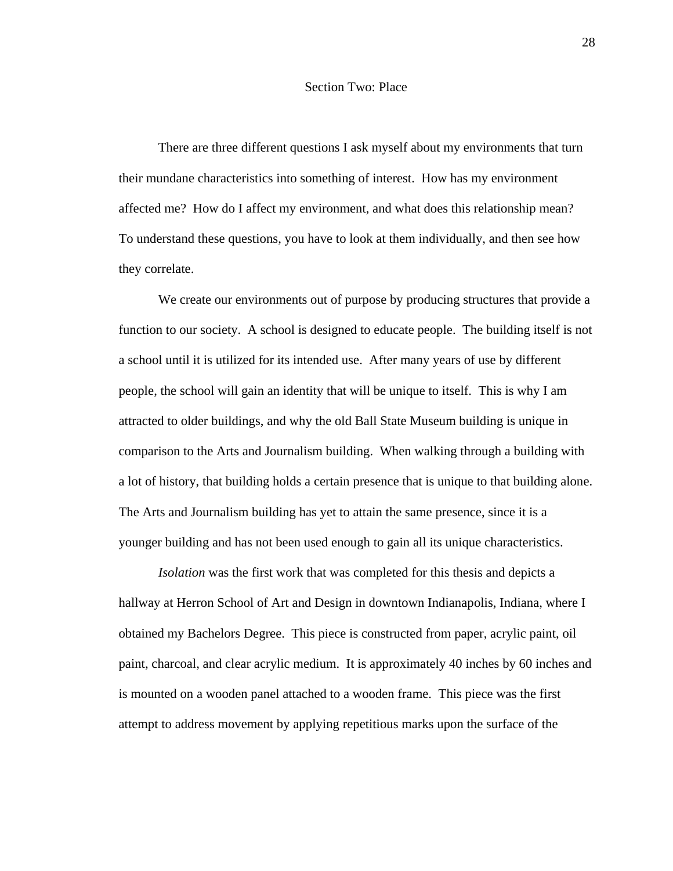#### Section Two: Place

There are three different questions I ask myself about my environments that turn their mundane characteristics into something of interest. How has my environment affected me? How do I affect my environment, and what does this relationship mean? To understand these questions, you have to look at them individually, and then see how they correlate.

We create our environments out of purpose by producing structures that provide a function to our society. A school is designed to educate people. The building itself is not a school until it is utilized for its intended use. After many years of use by different people, the school will gain an identity that will be unique to itself. This is why I am attracted to older buildings, and why the old Ball State Museum building is unique in comparison to the Arts and Journalism building. When walking through a building with a lot of history, that building holds a certain presence that is unique to that building alone. The Arts and Journalism building has yet to attain the same presence, since it is a younger building and has not been used enough to gain all its unique characteristics.

*Isolation* was the first work that was completed for this thesis and depicts a hallway at Herron School of Art and Design in downtown Indianapolis, Indiana, where I obtained my Bachelors Degree. This piece is constructed from paper, acrylic paint, oil paint, charcoal, and clear acrylic medium. It is approximately 40 inches by 60 inches and is mounted on a wooden panel attached to a wooden frame. This piece was the first attempt to address movement by applying repetitious marks upon the surface of the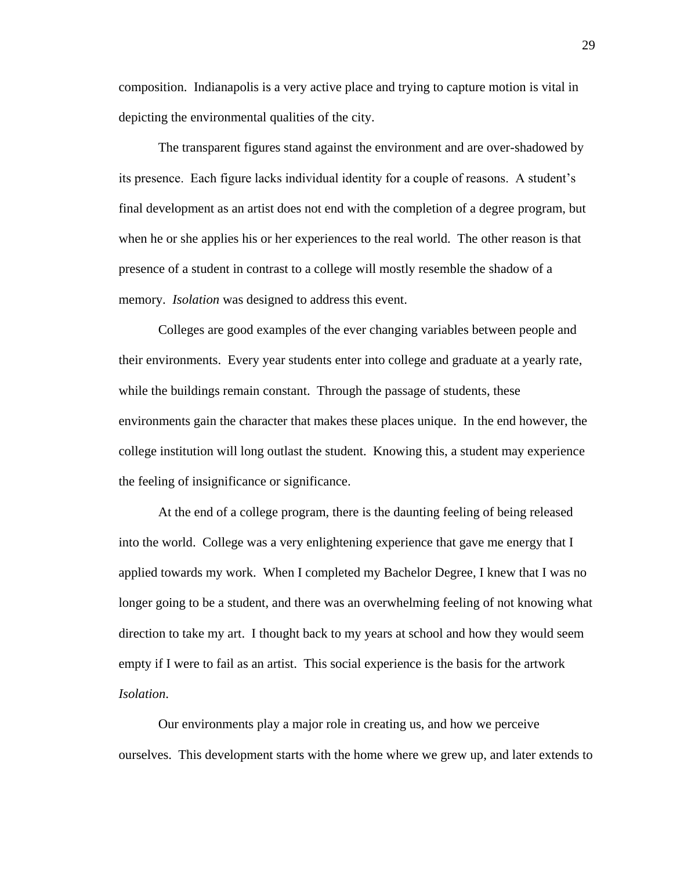composition. Indianapolis is a very active place and trying to capture motion is vital in depicting the environmental qualities of the city.

The transparent figures stand against the environment and are over-shadowed by its presence. Each figure lacks individual identity for a couple of reasons. A student's final development as an artist does not end with the completion of a degree program, but when he or she applies his or her experiences to the real world. The other reason is that presence of a student in contrast to a college will mostly resemble the shadow of a memory. *Isolation* was designed to address this event.

Colleges are good examples of the ever changing variables between people and their environments. Every year students enter into college and graduate at a yearly rate, while the buildings remain constant. Through the passage of students, these environments gain the character that makes these places unique. In the end however, the college institution will long outlast the student. Knowing this, a student may experience the feeling of insignificance or significance.

At the end of a college program, there is the daunting feeling of being released into the world. College was a very enlightening experience that gave me energy that I applied towards my work. When I completed my Bachelor Degree, I knew that I was no longer going to be a student, and there was an overwhelming feeling of not knowing what direction to take my art. I thought back to my years at school and how they would seem empty if I were to fail as an artist. This social experience is the basis for the artwork *Isolation*.

Our environments play a major role in creating us, and how we perceive ourselves. This development starts with the home where we grew up, and later extends to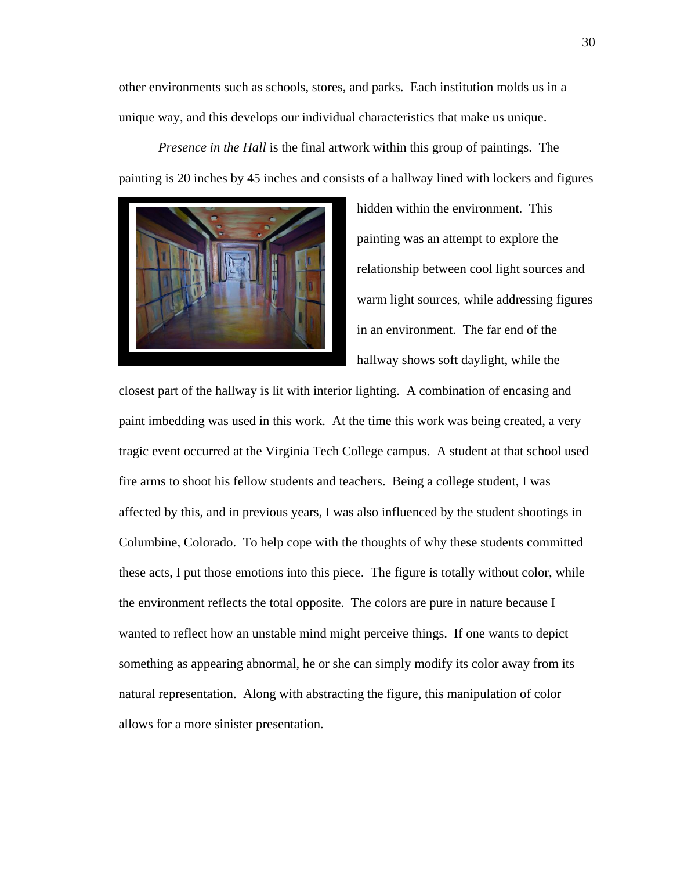other environments such as schools, stores, and parks. Each institution molds us in a unique way, and this develops our individual characteristics that make us unique.

*Presence in the Hall* is the final artwork within this group of paintings. The painting is 20 inches by 45 inches and consists of a hallway lined with lockers and figures



hidden within the environment. This painting was an attempt to explore the relationship between cool light sources and warm light sources, while addressing figures in an environment. The far end of the hallway shows soft daylight, while the

closest part of the hallway is lit with interior lighting. A combination of encasing and paint imbedding was used in this work. At the time this work was being created, a very tragic event occurred at the Virginia Tech College campus. A student at that school used fire arms to shoot his fellow students and teachers. Being a college student, I was affected by this, and in previous years, I was also influenced by the student shootings in Columbine, Colorado. To help cope with the thoughts of why these students committed these acts, I put those emotions into this piece. The figure is totally without color, while the environment reflects the total opposite. The colors are pure in nature because I wanted to reflect how an unstable mind might perceive things. If one wants to depict something as appearing abnormal, he or she can simply modify its color away from its natural representation. Along with abstracting the figure, this manipulation of color allows for a more sinister presentation.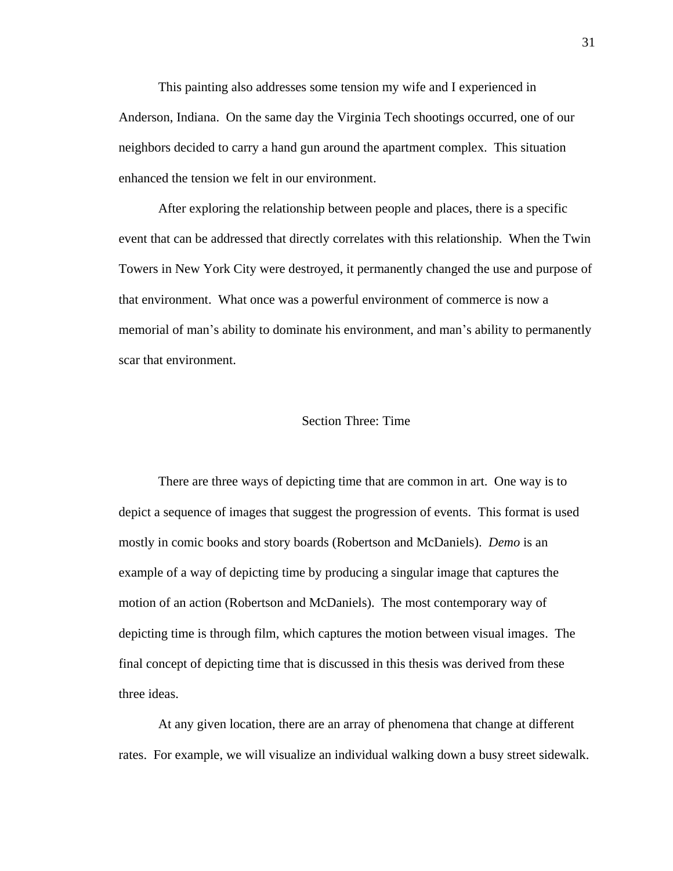This painting also addresses some tension my wife and I experienced in Anderson, Indiana. On the same day the Virginia Tech shootings occurred, one of our neighbors decided to carry a hand gun around the apartment complex. This situation enhanced the tension we felt in our environment.

After exploring the relationship between people and places, there is a specific event that can be addressed that directly correlates with this relationship. When the Twin Towers in New York City were destroyed, it permanently changed the use and purpose of that environment. What once was a powerful environment of commerce is now a memorial of man's ability to dominate his environment, and man's ability to permanently scar that environment.

#### Section Three: Time

There are three ways of depicting time that are common in art. One way is to depict a sequence of images that suggest the progression of events. This format is used mostly in comic books and story boards (Robertson and McDaniels). *Demo* is an example of a way of depicting time by producing a singular image that captures the motion of an action (Robertson and McDaniels). The most contemporary way of depicting time is through film, which captures the motion between visual images. The final concept of depicting time that is discussed in this thesis was derived from these three ideas.

At any given location, there are an array of phenomena that change at different rates. For example, we will visualize an individual walking down a busy street sidewalk.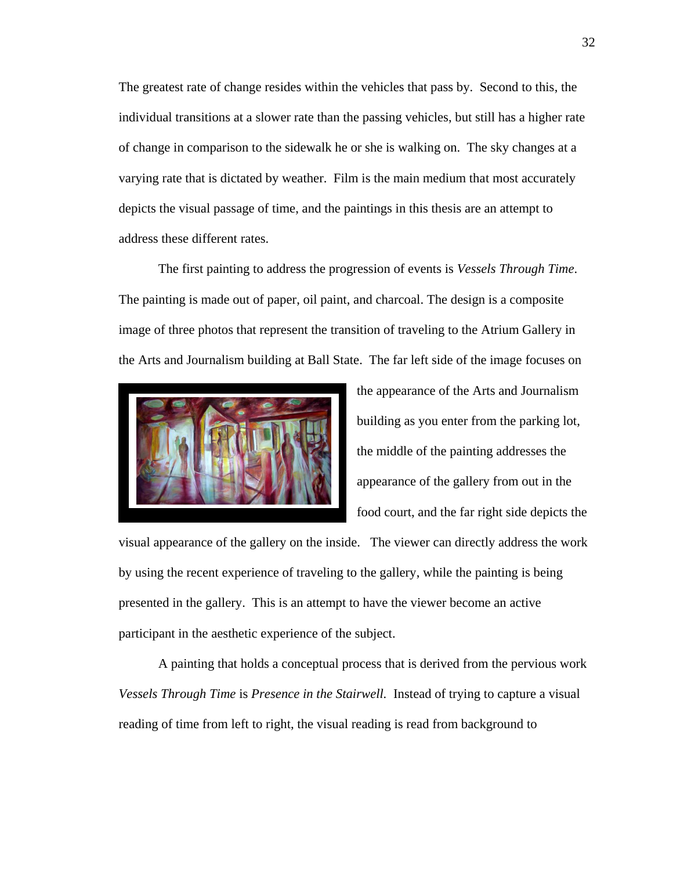The greatest rate of change resides within the vehicles that pass by. Second to this, the individual transitions at a slower rate than the passing vehicles, but still has a higher rate of change in comparison to the sidewalk he or she is walking on. The sky changes at a varying rate that is dictated by weather. Film is the main medium that most accurately depicts the visual passage of time, and the paintings in this thesis are an attempt to address these different rates.

The first painting to address the progression of events is *Vessels Through Time*. The painting is made out of paper, oil paint, and charcoal. The design is a composite image of three photos that represent the transition of traveling to the Atrium Gallery in the Arts and Journalism building at Ball State. The far left side of the image focuses on



the appearance of the Arts and Journalism building as you enter from the parking lot, the middle of the painting addresses the appearance of the gallery from out in the food court, and the far right side depicts the

visual appearance of the gallery on the inside. The viewer can directly address the work by using the recent experience of traveling to the gallery, while the painting is being presented in the gallery. This is an attempt to have the viewer become an active participant in the aesthetic experience of the subject.

A painting that holds a conceptual process that is derived from the pervious work *Vessels Through Time* is *Presence in the Stairwell.* Instead of trying to capture a visual reading of time from left to right, the visual reading is read from background to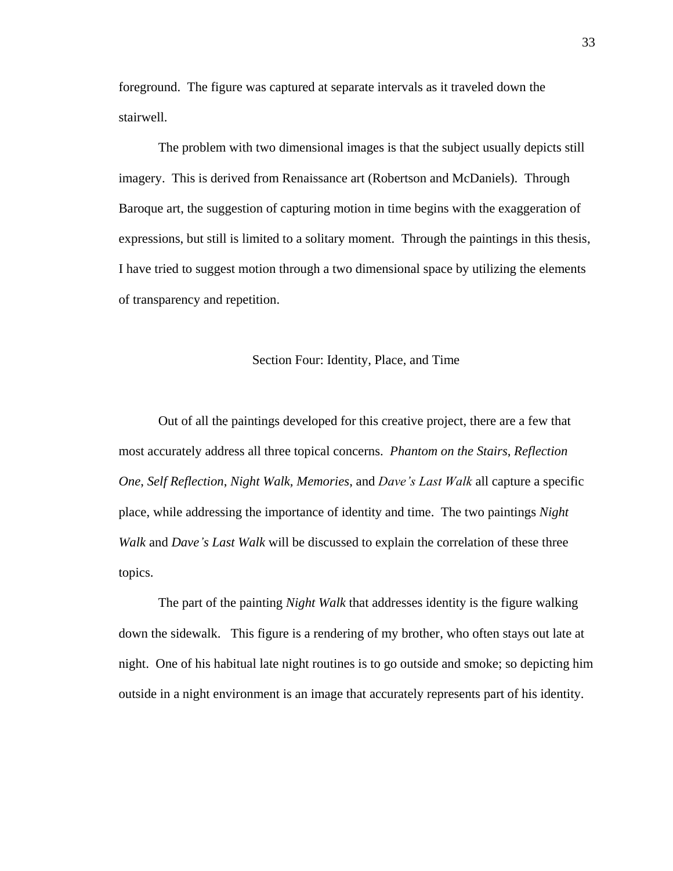foreground. The figure was captured at separate intervals as it traveled down the stairwell.

The problem with two dimensional images is that the subject usually depicts still imagery. This is derived from Renaissance art (Robertson and McDaniels). Through Baroque art, the suggestion of capturing motion in time begins with the exaggeration of expressions, but still is limited to a solitary moment. Through the paintings in this thesis, I have tried to suggest motion through a two dimensional space by utilizing the elements of transparency and repetition.

#### Section Four: Identity, Place, and Time

Out of all the paintings developed for this creative project, there are a few that most accurately address all three topical concerns. *Phantom on the Stairs*, *Reflection One*, *Self Reflection*, *Night Walk, Memories*, and *Dave's Last Walk* all capture a specific place, while addressing the importance of identity and time. The two paintings *Night Walk* and *Dave's Last Walk* will be discussed to explain the correlation of these three topics.

The part of the painting *Night Walk* that addresses identity is the figure walking down the sidewalk. This figure is a rendering of my brother, who often stays out late at night. One of his habitual late night routines is to go outside and smoke; so depicting him outside in a night environment is an image that accurately represents part of his identity.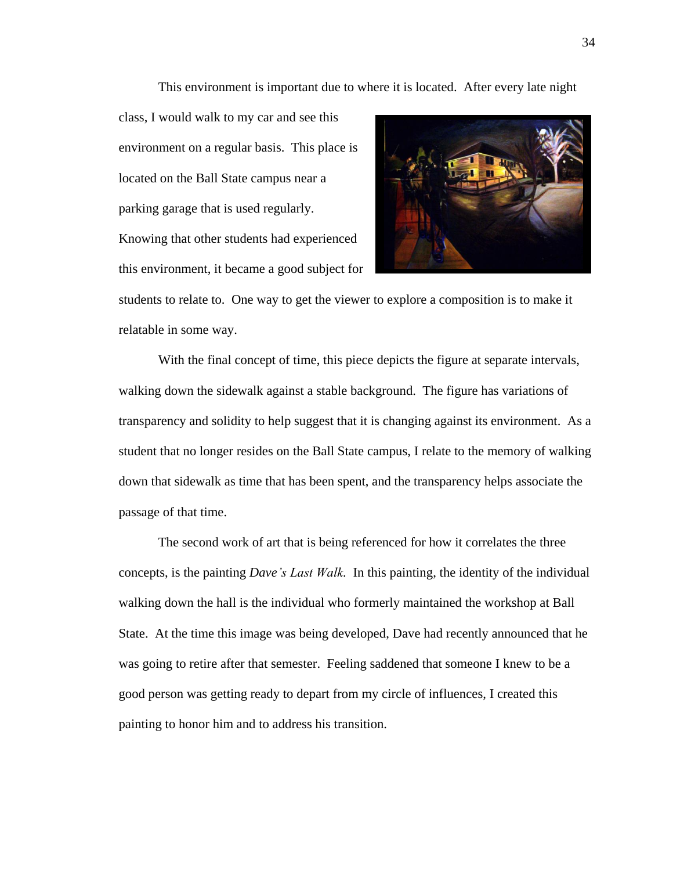This environment is important due to where it is located. After every late night

class, I would walk to my car and see this environment on a regular basis. This place is located on the Ball State campus near a parking garage that is used regularly. Knowing that other students had experienced this environment, it became a good subject for



students to relate to. One way to get the viewer to explore a composition is to make it relatable in some way.

With the final concept of time, this piece depicts the figure at separate intervals, walking down the sidewalk against a stable background. The figure has variations of transparency and solidity to help suggest that it is changing against its environment. As a student that no longer resides on the Ball State campus, I relate to the memory of walking down that sidewalk as time that has been spent, and the transparency helps associate the passage of that time.

The second work of art that is being referenced for how it correlates the three concepts, is the painting *Dave's Last Walk.* In this painting, the identity of the individual walking down the hall is the individual who formerly maintained the workshop at Ball State. At the time this image was being developed, Dave had recently announced that he was going to retire after that semester. Feeling saddened that someone I knew to be a good person was getting ready to depart from my circle of influences, I created this painting to honor him and to address his transition.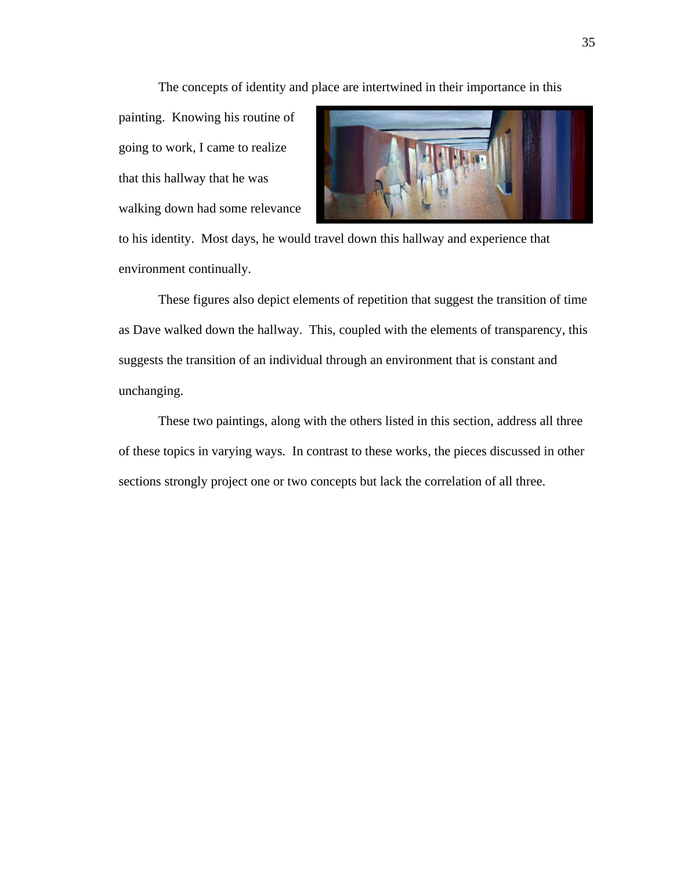The concepts of identity and place are intertwined in their importance in this

painting. Knowing his routine of going to work, I came to realize that this hallway that he was walking down had some relevance



to his identity. Most days, he would travel down this hallway and experience that environment continually.

These figures also depict elements of repetition that suggest the transition of time as Dave walked down the hallway. This, coupled with the elements of transparency, this suggests the transition of an individual through an environment that is constant and unchanging.

These two paintings, along with the others listed in this section, address all three of these topics in varying ways. In contrast to these works, the pieces discussed in other sections strongly project one or two concepts but lack the correlation of all three.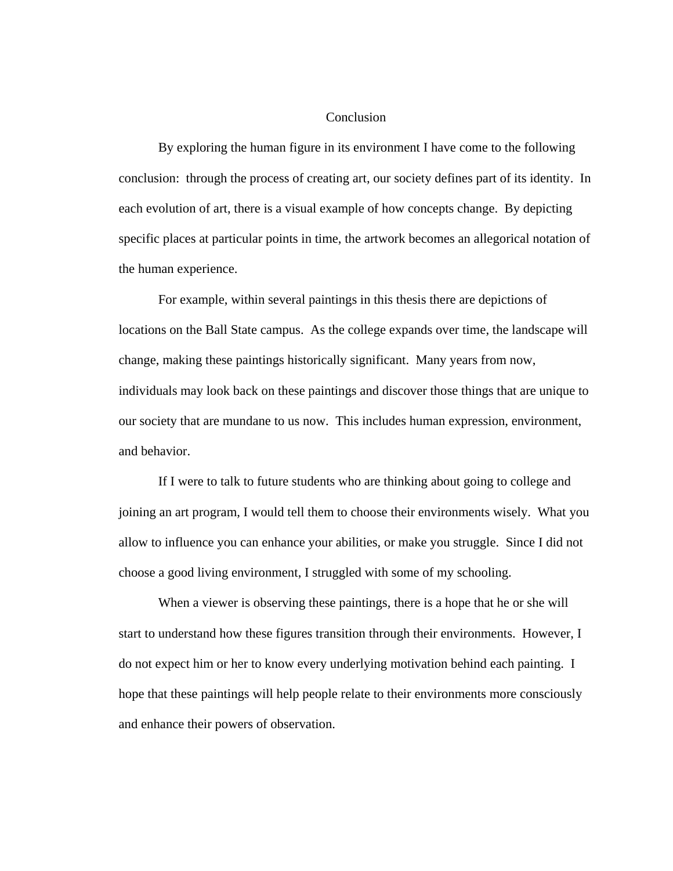#### Conclusion

By exploring the human figure in its environment I have come to the following conclusion: through the process of creating art, our society defines part of its identity. In each evolution of art, there is a visual example of how concepts change. By depicting specific places at particular points in time, the artwork becomes an allegorical notation of the human experience.

For example, within several paintings in this thesis there are depictions of locations on the Ball State campus. As the college expands over time, the landscape will change, making these paintings historically significant. Many years from now, individuals may look back on these paintings and discover those things that are unique to our society that are mundane to us now. This includes human expression, environment, and behavior.

If I were to talk to future students who are thinking about going to college and joining an art program, I would tell them to choose their environments wisely. What you allow to influence you can enhance your abilities, or make you struggle. Since I did not choose a good living environment, I struggled with some of my schooling.

When a viewer is observing these paintings, there is a hope that he or she will start to understand how these figures transition through their environments. However, I do not expect him or her to know every underlying motivation behind each painting. I hope that these paintings will help people relate to their environments more consciously and enhance their powers of observation.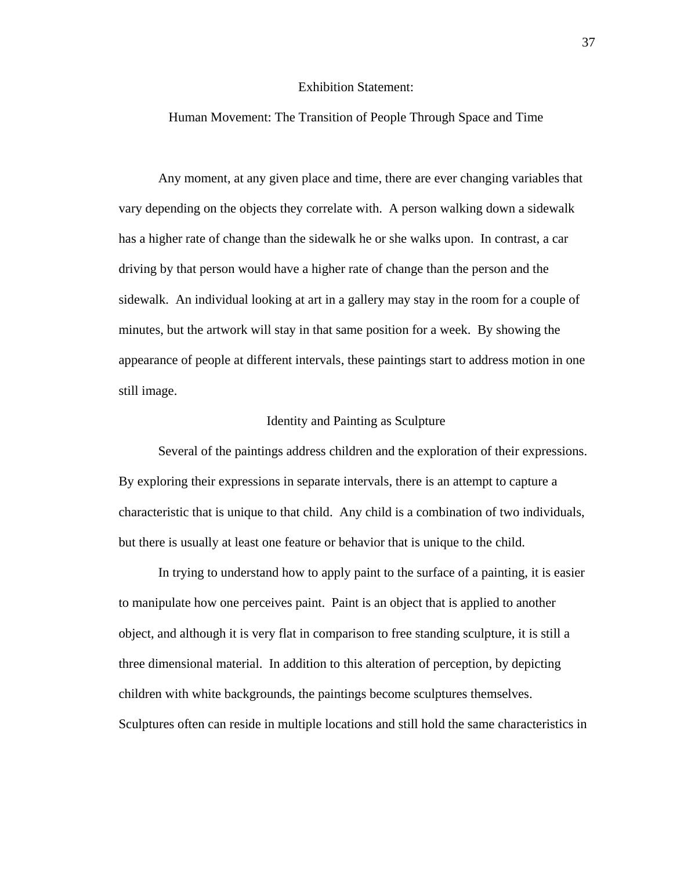#### Exhibition Statement:

#### Human Movement: The Transition of People Through Space and Time

Any moment, at any given place and time, there are ever changing variables that vary depending on the objects they correlate with. A person walking down a sidewalk has a higher rate of change than the sidewalk he or she walks upon. In contrast, a car driving by that person would have a higher rate of change than the person and the sidewalk. An individual looking at art in a gallery may stay in the room for a couple of minutes, but the artwork will stay in that same position for a week. By showing the appearance of people at different intervals, these paintings start to address motion in one still image.

#### Identity and Painting as Sculpture

Several of the paintings address children and the exploration of their expressions. By exploring their expressions in separate intervals, there is an attempt to capture a characteristic that is unique to that child. Any child is a combination of two individuals, but there is usually at least one feature or behavior that is unique to the child.

In trying to understand how to apply paint to the surface of a painting, it is easier to manipulate how one perceives paint. Paint is an object that is applied to another object, and although it is very flat in comparison to free standing sculpture, it is still a three dimensional material. In addition to this alteration of perception, by depicting children with white backgrounds, the paintings become sculptures themselves. Sculptures often can reside in multiple locations and still hold the same characteristics in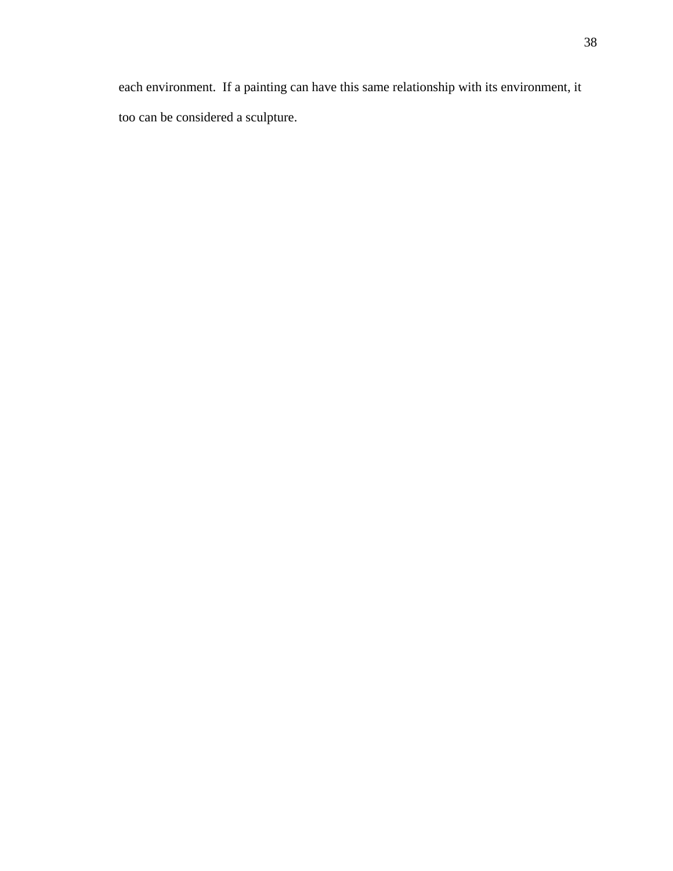each environment. If a painting can have this same relationship with its environment, it too can be considered a sculpture.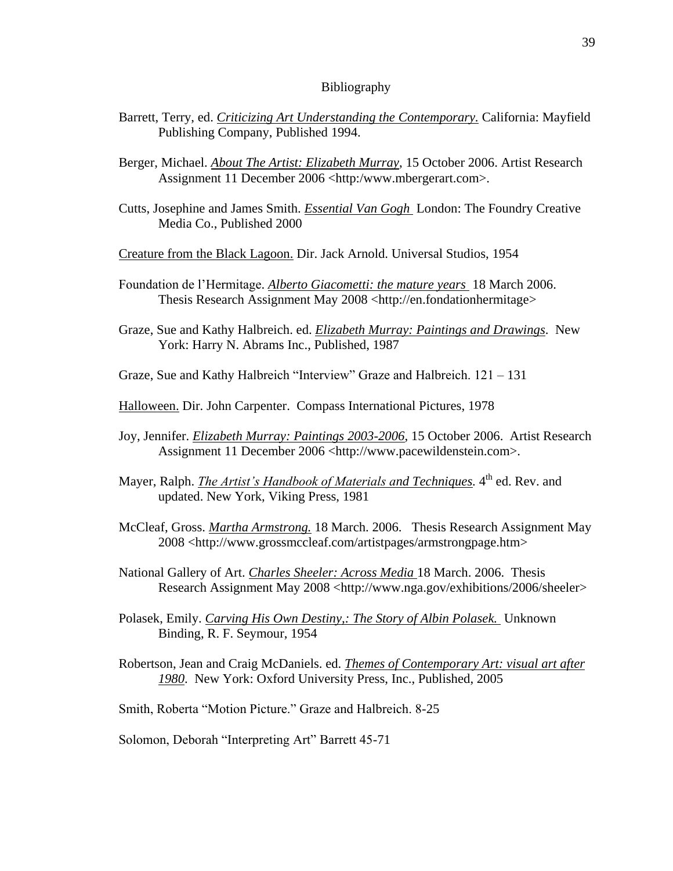#### Bibliography

- Barrett, Terry, ed. *Criticizing Art Understanding the Contemporary.* California: Mayfield Publishing Company, Published 1994.
- Berger, Michael. *About The Artist: Elizabeth Murray*, 15 October 2006. Artist Research Assignment 11 December 2006 <http:/www.mbergerart.com>.
- Cutts, Josephine and James Smith. *Essential Van Gogh* London: The Foundry Creative Media Co., Published 2000
- Creature from the Black Lagoon. Dir. Jack Arnold. Universal Studios, 1954
- Foundation de l'Hermitage. *Alberto Giacometti: the mature years* 18 March 2006. Thesis Research Assignment May 2008 <http://en.fondationhermitage>
- Graze, Sue and Kathy Halbreich. ed. *Elizabeth Murray: Paintings and Drawings*. New York: Harry N. Abrams Inc., Published, 1987
- Graze, Sue and Kathy Halbreich "Interview" Graze and Halbreich. 121 131
- Halloween. Dir. John Carpenter. Compass International Pictures, 1978
- Joy, Jennifer. *Elizabeth Murray: Paintings 2003-2006*, 15 October 2006. Artist Research Assignment 11 December 2006 <http://www.pacewildenstein.com>.
- Mayer, Ralph. *The Artist's Handbook of Materials and Techniques*. 4<sup>th</sup> ed. Rev. and updated. New York, Viking Press, 1981
- McCleaf, Gross. *Martha Armstrong.* 18 March. 2006. Thesis Research Assignment May 2008 <http://www.grossmccleaf.com/artistpages/armstrongpage.htm>
- National Gallery of Art. *Charles Sheeler: Across Media* 18 March. 2006. Thesis Research Assignment May 2008 <http://www.nga.gov/exhibitions/2006/sheeler>
- Polasek, Emily. *Carving His Own Destiny,: The Story of Albin Polasek.* Unknown Binding, R. F. Seymour, 1954
- Robertson, Jean and Craig McDaniels. ed. *Themes of Contemporary Art: visual art after 1980*. New York: Oxford University Press, Inc., Published, 2005
- Smith, Roberta "Motion Picture." Graze and Halbreich. 8-25
- Solomon, Deborah "Interpreting Art" Barrett 45-71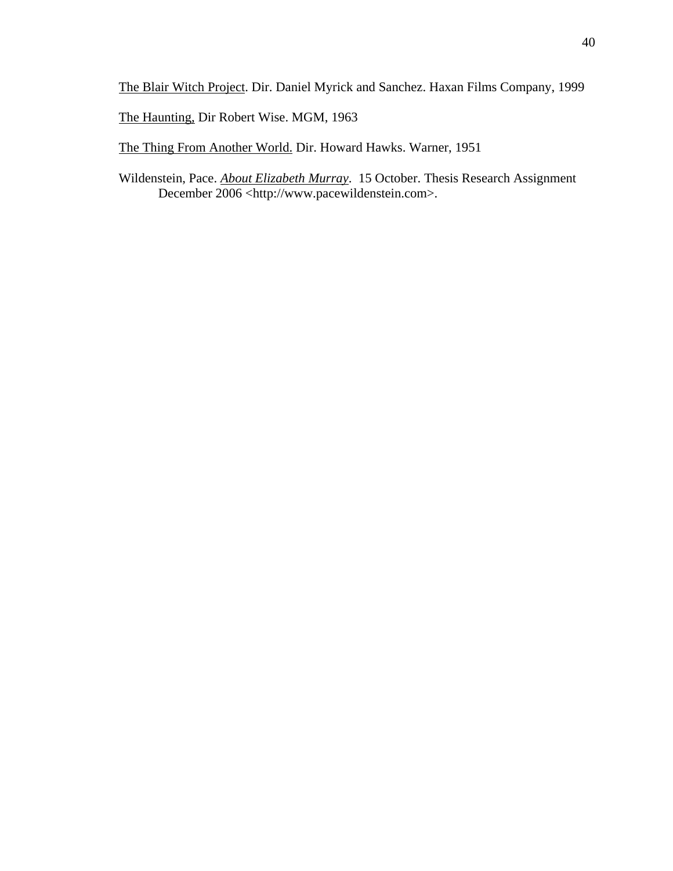The Blair Witch Project. Dir. Daniel Myrick and Sanchez. Haxan Films Company, 1999

The Haunting, Dir Robert Wise. MGM, 1963

The Thing From Another World. Dir. Howard Hawks. Warner, 1951

Wildenstein, Pace. *About Elizabeth Murray*. 15 October. Thesis Research Assignment December 2006 <http://www.pacewildenstein.com>.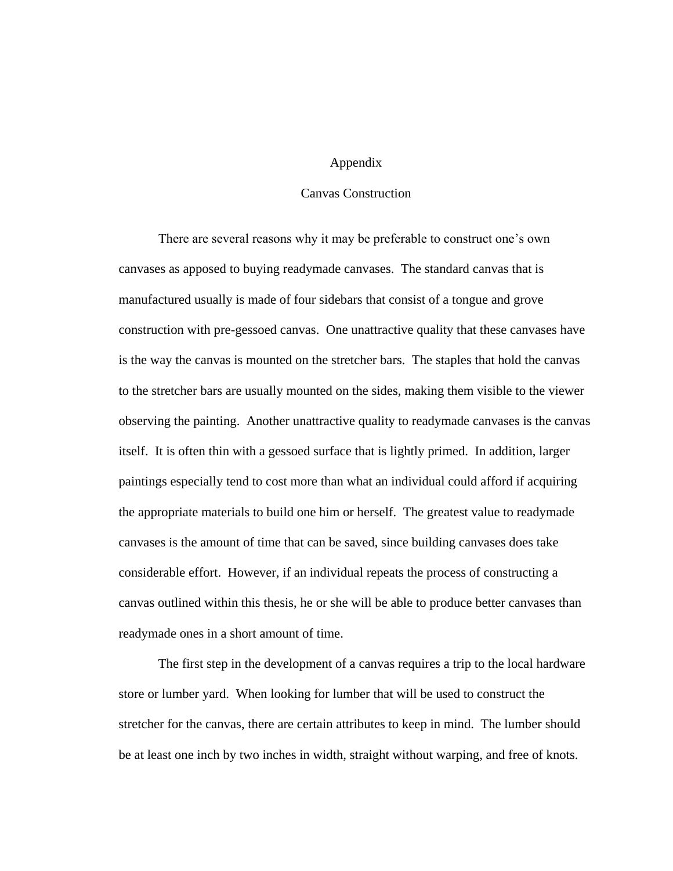## Appendix

# Canvas Construction

There are several reasons why it may be preferable to construct one's own canvases as apposed to buying readymade canvases. The standard canvas that is manufactured usually is made of four sidebars that consist of a tongue and grove construction with pre-gessoed canvas. One unattractive quality that these canvases have is the way the canvas is mounted on the stretcher bars. The staples that hold the canvas to the stretcher bars are usually mounted on the sides, making them visible to the viewer observing the painting. Another unattractive quality to readymade canvases is the canvas itself. It is often thin with a gessoed surface that is lightly primed. In addition, larger paintings especially tend to cost more than what an individual could afford if acquiring the appropriate materials to build one him or herself. The greatest value to readymade canvases is the amount of time that can be saved, since building canvases does take considerable effort. However, if an individual repeats the process of constructing a canvas outlined within this thesis, he or she will be able to produce better canvases than readymade ones in a short amount of time.

The first step in the development of a canvas requires a trip to the local hardware store or lumber yard. When looking for lumber that will be used to construct the stretcher for the canvas, there are certain attributes to keep in mind. The lumber should be at least one inch by two inches in width, straight without warping, and free of knots.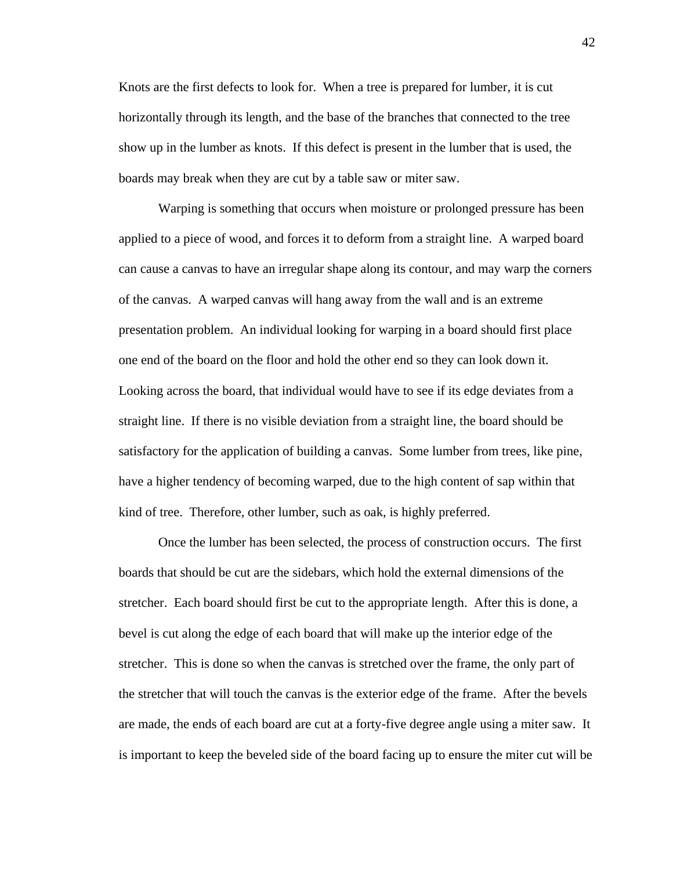Knots are the first defects to look for. When a tree is prepared for lumber, it is cut horizontally through its length, and the base of the branches that connected to the tree show up in the lumber as knots. If this defect is present in the lumber that is used, the boards may break when they are cut by a table saw or miter saw.

Warping is something that occurs when moisture or prolonged pressure has been applied to a piece of wood, and forces it to deform from a straight line. A warped board can cause a canvas to have an irregular shape along its contour, and may warp the corners of the canvas. A warped canvas will hang away from the wall and is an extreme presentation problem. An individual looking for warping in a board should first place one end of the board on the floor and hold the other end so they can look down it. Looking across the board, that individual would have to see if its edge deviates from a straight line. If there is no visible deviation from a straight line, the board should be satisfactory for the application of building a canvas. Some lumber from trees, like pine, have a higher tendency of becoming warped, due to the high content of sap within that kind of tree. Therefore, other lumber, such as oak, is highly preferred.

Once the lumber has been selected, the process of construction occurs. The first boards that should be cut are the sidebars, which hold the external dimensions of the stretcher. Each board should first be cut to the appropriate length. After this is done, a bevel is cut along the edge of each board that will make up the interior edge of the stretcher. This is done so when the canvas is stretched over the frame, the only part of the stretcher that will touch the canvas is the exterior edge of the frame. After the bevels are made, the ends of each board are cut at a forty-five degree angle using a miter saw. It is important to keep the beveled side of the board facing up to ensure the miter cut will be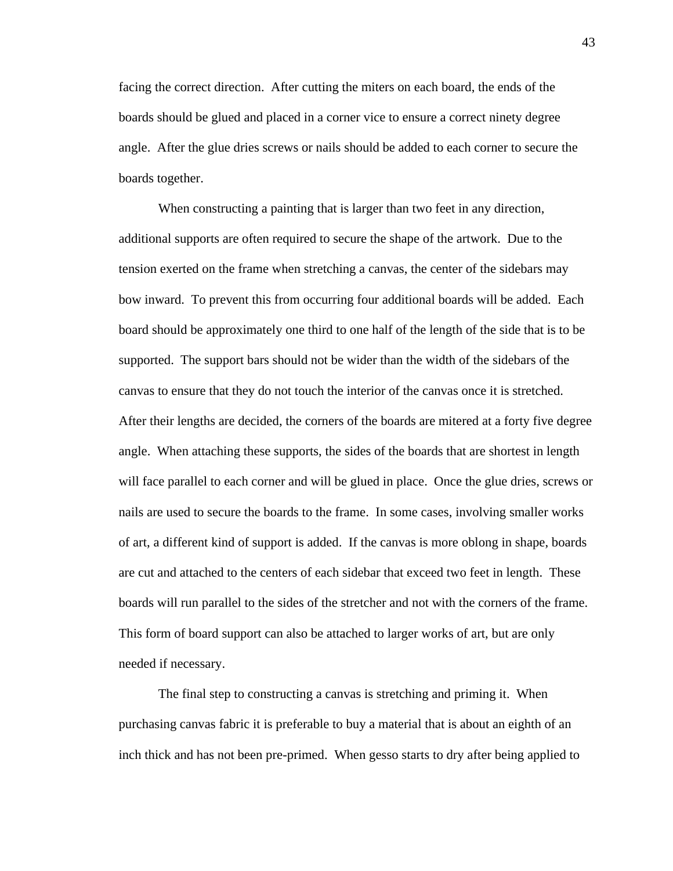facing the correct direction. After cutting the miters on each board, the ends of the boards should be glued and placed in a corner vice to ensure a correct ninety degree angle. After the glue dries screws or nails should be added to each corner to secure the boards together.

When constructing a painting that is larger than two feet in any direction, additional supports are often required to secure the shape of the artwork. Due to the tension exerted on the frame when stretching a canvas, the center of the sidebars may bow inward. To prevent this from occurring four additional boards will be added. Each board should be approximately one third to one half of the length of the side that is to be supported. The support bars should not be wider than the width of the sidebars of the canvas to ensure that they do not touch the interior of the canvas once it is stretched. After their lengths are decided, the corners of the boards are mitered at a forty five degree angle. When attaching these supports, the sides of the boards that are shortest in length will face parallel to each corner and will be glued in place. Once the glue dries, screws or nails are used to secure the boards to the frame. In some cases, involving smaller works of art, a different kind of support is added. If the canvas is more oblong in shape, boards are cut and attached to the centers of each sidebar that exceed two feet in length. These boards will run parallel to the sides of the stretcher and not with the corners of the frame. This form of board support can also be attached to larger works of art, but are only needed if necessary.

The final step to constructing a canvas is stretching and priming it. When purchasing canvas fabric it is preferable to buy a material that is about an eighth of an inch thick and has not been pre-primed. When gesso starts to dry after being applied to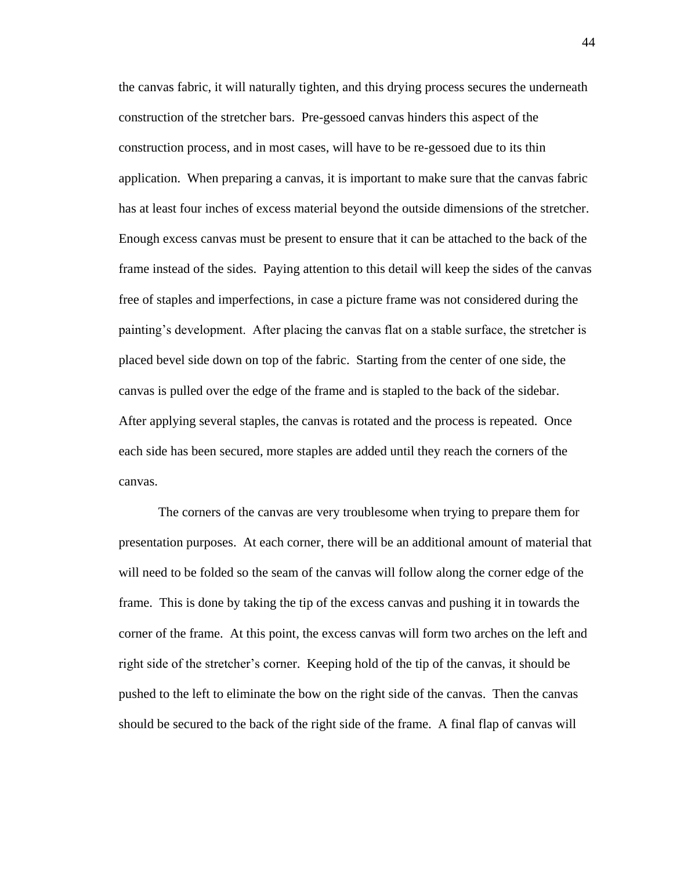the canvas fabric, it will naturally tighten, and this drying process secures the underneath construction of the stretcher bars. Pre-gessoed canvas hinders this aspect of the construction process, and in most cases, will have to be re-gessoed due to its thin application. When preparing a canvas, it is important to make sure that the canvas fabric has at least four inches of excess material beyond the outside dimensions of the stretcher. Enough excess canvas must be present to ensure that it can be attached to the back of the frame instead of the sides. Paying attention to this detail will keep the sides of the canvas free of staples and imperfections, in case a picture frame was not considered during the painting's development. After placing the canvas flat on a stable surface, the stretcher is placed bevel side down on top of the fabric. Starting from the center of one side, the canvas is pulled over the edge of the frame and is stapled to the back of the sidebar. After applying several staples, the canvas is rotated and the process is repeated. Once each side has been secured, more staples are added until they reach the corners of the canvas.

The corners of the canvas are very troublesome when trying to prepare them for presentation purposes. At each corner, there will be an additional amount of material that will need to be folded so the seam of the canvas will follow along the corner edge of the frame. This is done by taking the tip of the excess canvas and pushing it in towards the corner of the frame. At this point, the excess canvas will form two arches on the left and right side of the stretcher's corner. Keeping hold of the tip of the canvas, it should be pushed to the left to eliminate the bow on the right side of the canvas. Then the canvas should be secured to the back of the right side of the frame. A final flap of canvas will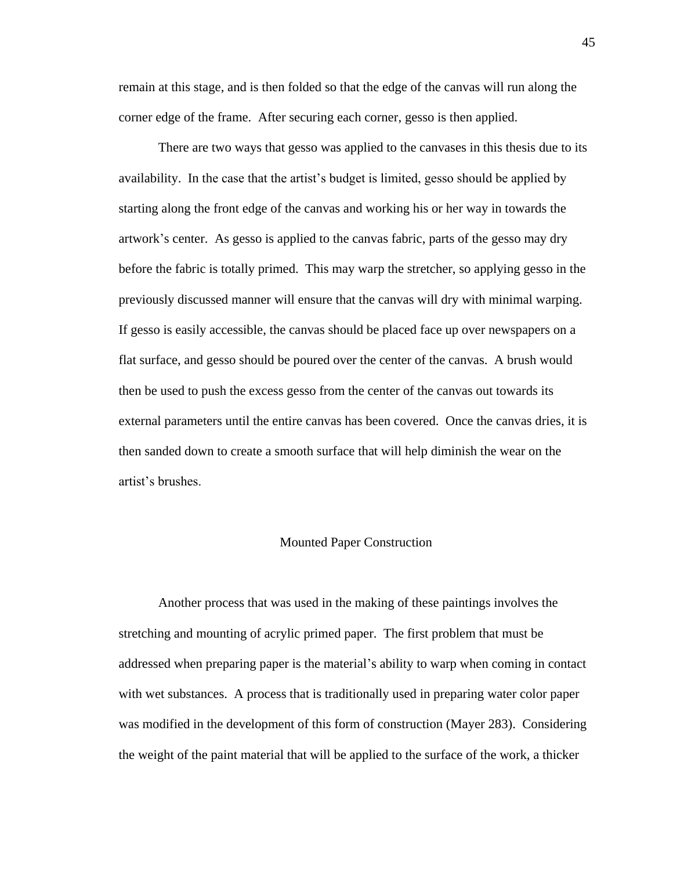remain at this stage, and is then folded so that the edge of the canvas will run along the corner edge of the frame. After securing each corner, gesso is then applied.

There are two ways that gesso was applied to the canvases in this thesis due to its availability. In the case that the artist's budget is limited, gesso should be applied by starting along the front edge of the canvas and working his or her way in towards the artwork's center. As gesso is applied to the canvas fabric, parts of the gesso may dry before the fabric is totally primed. This may warp the stretcher, so applying gesso in the previously discussed manner will ensure that the canvas will dry with minimal warping. If gesso is easily accessible, the canvas should be placed face up over newspapers on a flat surface, and gesso should be poured over the center of the canvas. A brush would then be used to push the excess gesso from the center of the canvas out towards its external parameters until the entire canvas has been covered. Once the canvas dries, it is then sanded down to create a smooth surface that will help diminish the wear on the artist's brushes.

#### Mounted Paper Construction

Another process that was used in the making of these paintings involves the stretching and mounting of acrylic primed paper. The first problem that must be addressed when preparing paper is the material's ability to warp when coming in contact with wet substances. A process that is traditionally used in preparing water color paper was modified in the development of this form of construction (Mayer 283). Considering the weight of the paint material that will be applied to the surface of the work, a thicker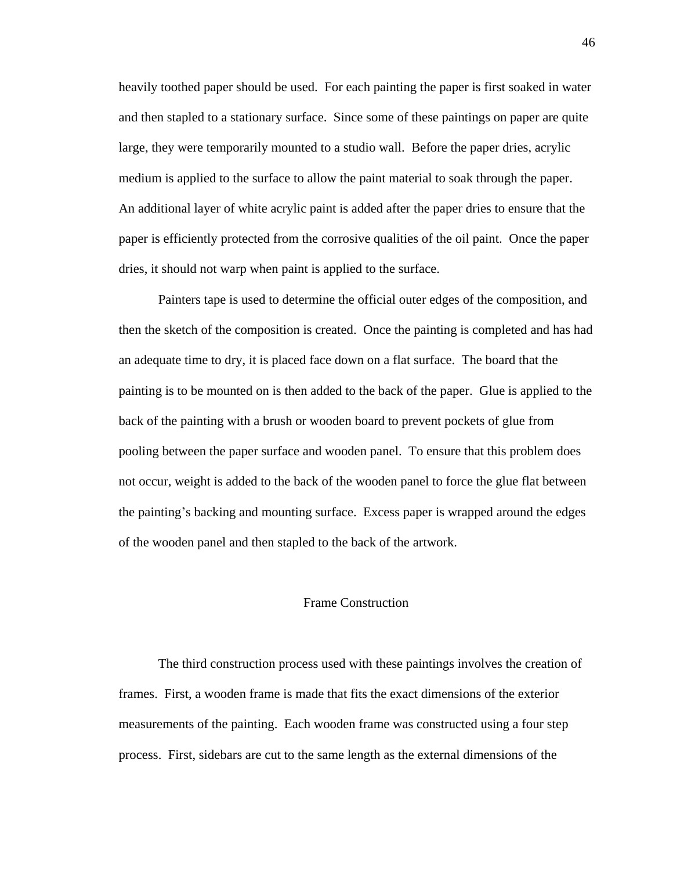heavily toothed paper should be used. For each painting the paper is first soaked in water and then stapled to a stationary surface. Since some of these paintings on paper are quite large, they were temporarily mounted to a studio wall. Before the paper dries, acrylic medium is applied to the surface to allow the paint material to soak through the paper. An additional layer of white acrylic paint is added after the paper dries to ensure that the paper is efficiently protected from the corrosive qualities of the oil paint. Once the paper dries, it should not warp when paint is applied to the surface.

Painters tape is used to determine the official outer edges of the composition, and then the sketch of the composition is created. Once the painting is completed and has had an adequate time to dry, it is placed face down on a flat surface. The board that the painting is to be mounted on is then added to the back of the paper. Glue is applied to the back of the painting with a brush or wooden board to prevent pockets of glue from pooling between the paper surface and wooden panel. To ensure that this problem does not occur, weight is added to the back of the wooden panel to force the glue flat between the painting's backing and mounting surface. Excess paper is wrapped around the edges of the wooden panel and then stapled to the back of the artwork.

### Frame Construction

The third construction process used with these paintings involves the creation of frames. First, a wooden frame is made that fits the exact dimensions of the exterior measurements of the painting. Each wooden frame was constructed using a four step process. First, sidebars are cut to the same length as the external dimensions of the

46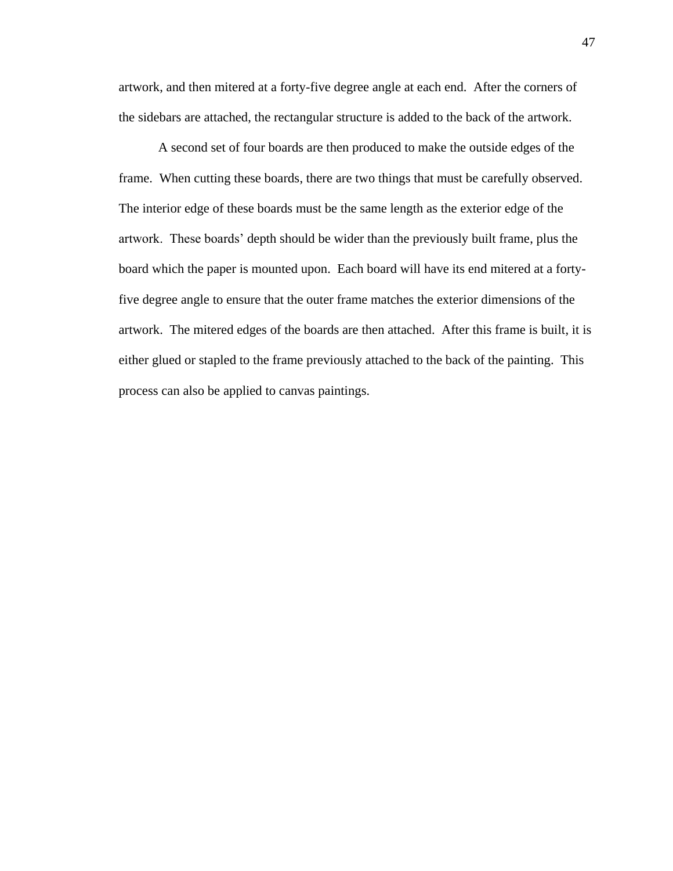artwork, and then mitered at a forty-five degree angle at each end. After the corners of the sidebars are attached, the rectangular structure is added to the back of the artwork.

A second set of four boards are then produced to make the outside edges of the frame. When cutting these boards, there are two things that must be carefully observed. The interior edge of these boards must be the same length as the exterior edge of the artwork. These boards' depth should be wider than the previously built frame, plus the board which the paper is mounted upon. Each board will have its end mitered at a fortyfive degree angle to ensure that the outer frame matches the exterior dimensions of the artwork. The mitered edges of the boards are then attached. After this frame is built, it is either glued or stapled to the frame previously attached to the back of the painting. This process can also be applied to canvas paintings.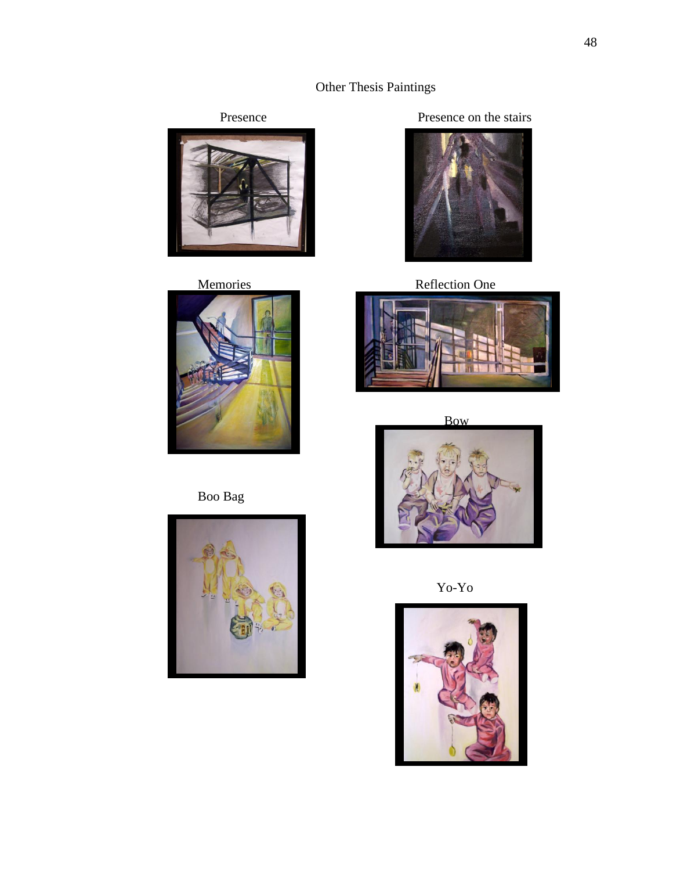# Other Thesis Paintings





Boo Bag



Presence Presence on the stairs



Memories Reflection One



Bow



Yo-Yo

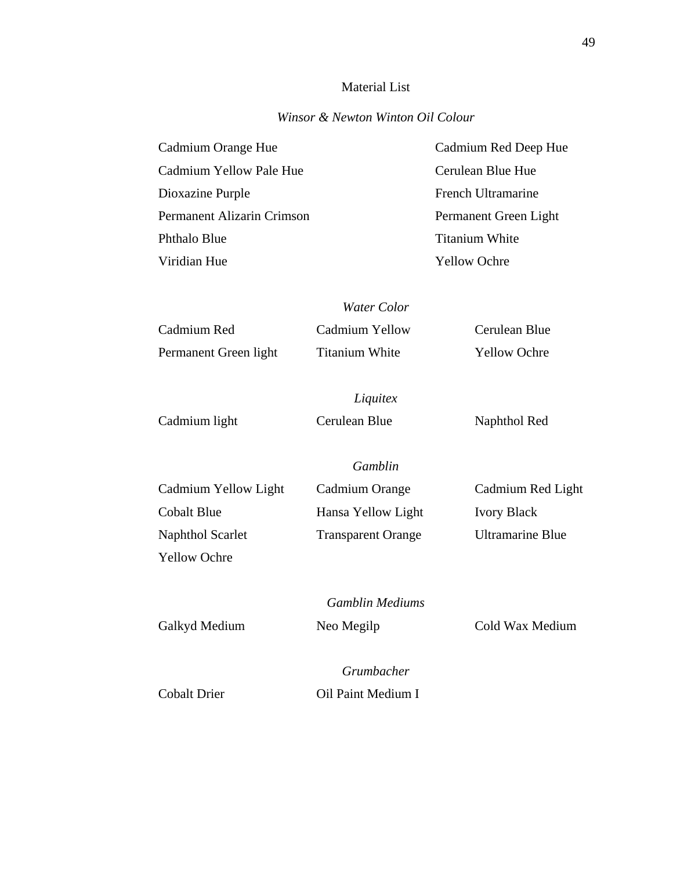# Material List

# *Winsor & Newton Winton Oil Colour*

| Cadmium Orange Hue         | Cadmium Red Deep Hue  |
|----------------------------|-----------------------|
| Cadmium Yellow Pale Hue    | Cerulean Blue Hue     |
| Dioxazine Purple           | French Ultramarine    |
| Permanent Alizarin Crimson | Permanent Green Light |
| Phthalo Blue               | <b>Titanium White</b> |
| Viridian Hue               | <b>Yellow Ochre</b>   |

*Water Color*

| Cadmium Red           | Cadmium Yellow        | Cerulean Blue       |
|-----------------------|-----------------------|---------------------|
| Permanent Green light | <b>Titanium White</b> | <b>Yellow Ochre</b> |

*Liquitex* Cadmium light Cerulean Blue Naphthol Red

*Gamblin*

| Cadmium Yellow Light | Cadmium Orange            | Cadmium Red Light       |
|----------------------|---------------------------|-------------------------|
| Cobalt Blue          | Hansa Yellow Light        | <b>Ivory Black</b>      |
| Naphthol Scarlet     | <b>Transparent Orange</b> | <b>Ultramarine Blue</b> |
| <b>Yellow Ochre</b>  |                           |                         |

*Gamblin Mediums*

Galkyd Medium Neo Megilp Cold Wax Medium

*Grumbacher*

Cobalt Drier Oil Paint Medium I